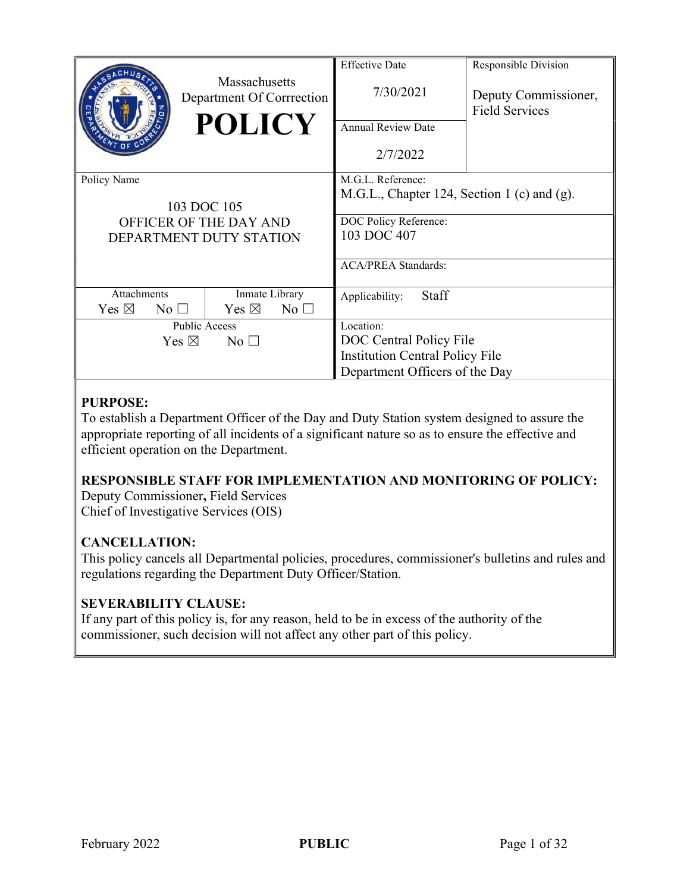|                                    | Massachusetts<br>Department Of Corrrection<br><b>POLICY</b> | <b>Effective Date</b><br>7/30/2021<br><b>Annual Review Date</b> | Responsible Division<br>Deputy Commissioner,<br><b>Field Services</b> |
|------------------------------------|-------------------------------------------------------------|-----------------------------------------------------------------|-----------------------------------------------------------------------|
|                                    |                                                             | 2/7/2022                                                        |                                                                       |
| Policy Name                        |                                                             | M.G.L. Reference:                                               |                                                                       |
|                                    |                                                             | M.G.L., Chapter 124, Section 1 (c) and (g).                     |                                                                       |
|                                    | 103 DOC 105                                                 |                                                                 |                                                                       |
|                                    | OFFICER OF THE DAY AND                                      | DOC Policy Reference:                                           |                                                                       |
|                                    | DEPARTMENT DUTY STATION                                     | 103 DOC 407                                                     |                                                                       |
|                                    |                                                             |                                                                 |                                                                       |
|                                    |                                                             | <b>ACA/PREA Standards:</b>                                      |                                                                       |
|                                    |                                                             |                                                                 |                                                                       |
| Attachments                        | Inmate Library                                              | Staff<br>Applicability:                                         |                                                                       |
| Yes $\boxtimes$<br>$No$ $\square$  | Yes $\boxtimes$<br>$No$ $\square$                           |                                                                 |                                                                       |
| <b>Public Access</b>               |                                                             | Location:                                                       |                                                                       |
| Yes $\boxtimes$<br>$\rm No$ $\Box$ |                                                             | DOC Central Policy File                                         |                                                                       |
|                                    |                                                             | <b>Institution Central Policy File</b>                          |                                                                       |
|                                    |                                                             | Department Officers of the Day                                  |                                                                       |
|                                    |                                                             |                                                                 |                                                                       |

# PURPOSE:

To establish a Department Officer of the Day and Duty Station system designed to assure the appropriate reporting of all incidents of a significant nature so as to ensure the effective and efficient operation on the Department.

# RESPONSIBLE STAFF FOR IMPLEMENTATION AND MONITORING OF POLICY:

Deputy Commissioner, Field Services Chief of Investigative Services (OIS)

### CANCELLATION:

This policy cancels all Departmental policies, procedures, commissioner's bulletins and rules and regulations regarding the Department Duty Officer/Station.

# SEVERABILITY CLAUSE:

If any part of this policy is, for any reason, held to be in excess of the authority of the commissioner, such decision will not affect any other part of this policy.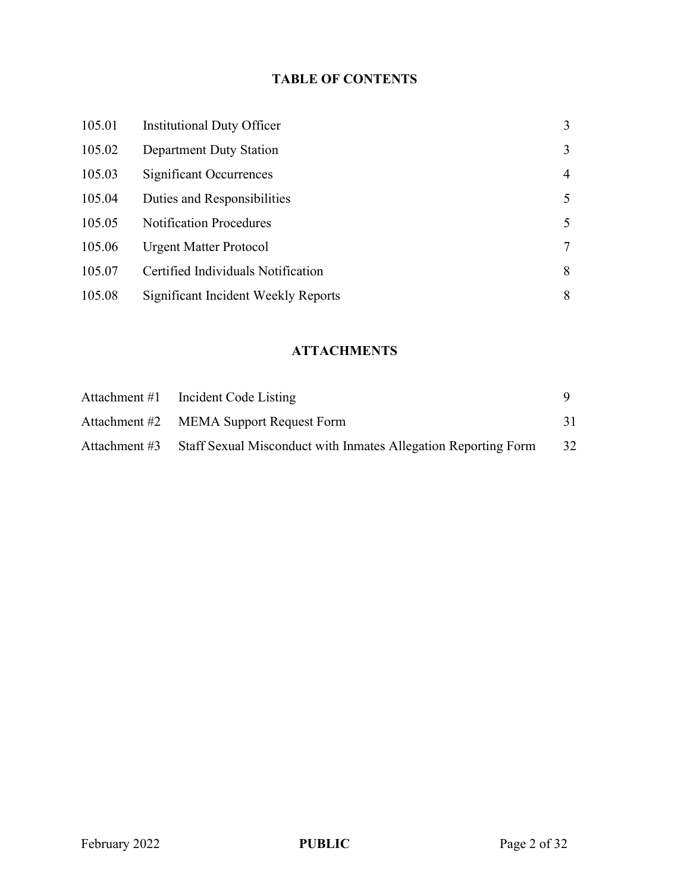# TABLE OF CONTENTS

| 105.01 | Institutional Duty Officer          | 3 |
|--------|-------------------------------------|---|
| 105.02 | Department Duty Station             | 3 |
| 105.03 | Significant Occurrences             | 4 |
| 105.04 | Duties and Responsibilities         | 5 |
| 105.05 | <b>Notification Procedures</b>      | 5 |
| 105.06 | <b>Urgent Matter Protocol</b>       | 7 |
| 105.07 | Certified Individuals Notification  | 8 |
| 105.08 | Significant Incident Weekly Reports | 8 |

# **ATTACHMENTS**

| Attachment #1 Incident Code Listing                                          |    |
|------------------------------------------------------------------------------|----|
| Attachment #2 MEMA Support Request Form                                      |    |
| Attachment #3 Staff Sexual Misconduct with Inmates Allegation Reporting Form | 32 |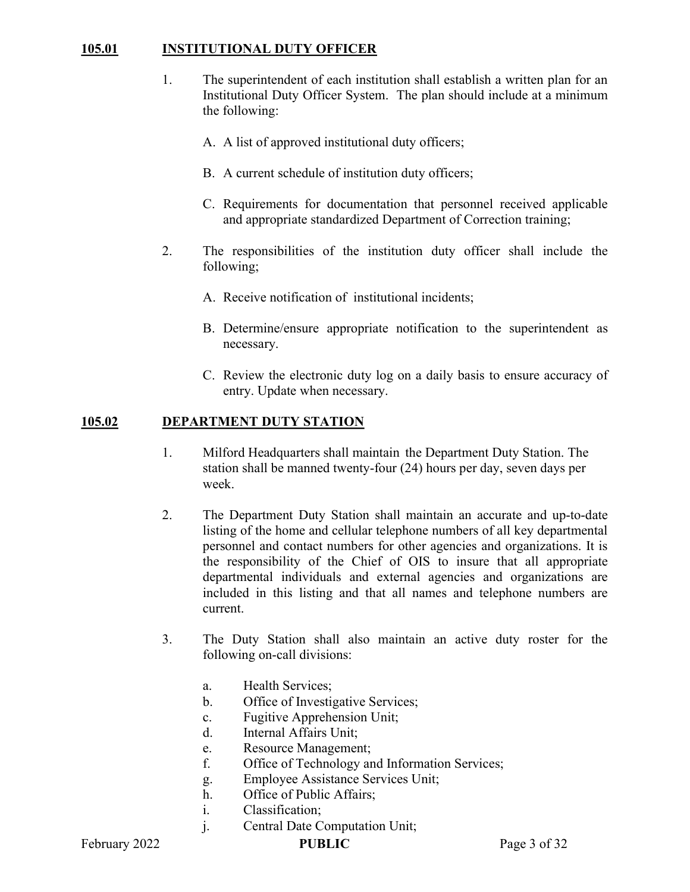### 105.01 INSTITUTIONAL DUTY OFFICER

- 1. The superintendent of each institution shall establish a written plan for an Institutional Duty Officer System. The plan should include at a minimum the following:
	- A. A list of approved institutional duty officers;
	- B. A current schedule of institution duty officers;
	- C. Requirements for documentation that personnel received applicable and appropriate standardized Department of Correction training;
- 2. The responsibilities of the institution duty officer shall include the following;
	- A. Receive notification of institutional incidents;
	- B. Determine/ensure appropriate notification to the superintendent as necessary.
	- C. Review the electronic duty log on a daily basis to ensure accuracy of entry. Update when necessary.

#### 105.02 DEPARTMENT DUTY STATION

- 1. Milford Headquarters shall maintain the Department Duty Station. The station shall be manned twenty-four (24) hours per day, seven days per week.
- 2. The Department Duty Station shall maintain an accurate and up-to-date listing of the home and cellular telephone numbers of all key departmental personnel and contact numbers for other agencies and organizations. It is the responsibility of the Chief of OIS to insure that all appropriate departmental individuals and external agencies and organizations are included in this listing and that all names and telephone numbers are current.
- 3. The Duty Station shall also maintain an active duty roster for the following on-call divisions:
	- a. Health Services;
	- b. Office of Investigative Services;
	- c. Fugitive Apprehension Unit;
	- d. Internal Affairs Unit;
	- e. Resource Management;
	- f. Office of Technology and Information Services;
	- g. Employee Assistance Services Unit;
	- h. Office of Public Affairs;
	- i. Classification;
	- j. Central Date Computation Unit;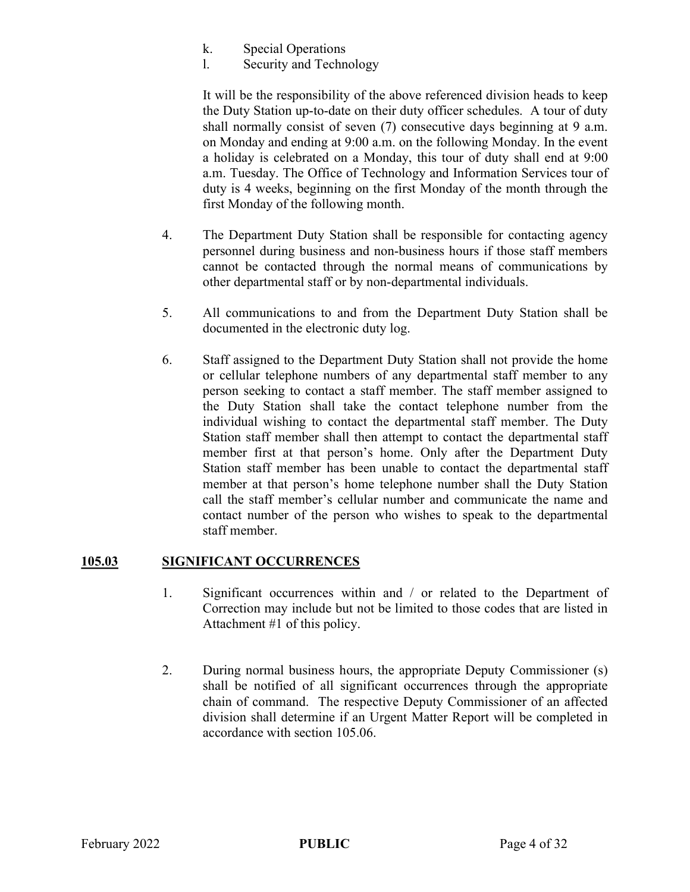- k. Special Operations
- l. Security and Technology

It will be the responsibility of the above referenced division heads to keep the Duty Station up-to-date on their duty officer schedules. A tour of duty shall normally consist of seven (7) consecutive days beginning at 9 a.m. on Monday and ending at 9:00 a.m. on the following Monday. In the event a holiday is celebrated on a Monday, this tour of duty shall end at 9:00 a.m. Tuesday. The Office of Technology and Information Services tour of duty is 4 weeks, beginning on the first Monday of the month through the first Monday of the following month.

- 4. The Department Duty Station shall be responsible for contacting agency personnel during business and non-business hours if those staff members cannot be contacted through the normal means of communications by other departmental staff or by non-departmental individuals.
- 5. All communications to and from the Department Duty Station shall be documented in the electronic duty log.
- 6. Staff assigned to the Department Duty Station shall not provide the home or cellular telephone numbers of any departmental staff member to any person seeking to contact a staff member. The staff member assigned to the Duty Station shall take the contact telephone number from the individual wishing to contact the departmental staff member. The Duty Station staff member shall then attempt to contact the departmental staff member first at that person's home. Only after the Department Duty Station staff member has been unable to contact the departmental staff member at that person's home telephone number shall the Duty Station call the staff member's cellular number and communicate the name and contact number of the person who wishes to speak to the departmental staff member.

#### 105.03 SIGNIFICANT OCCURRENCES

- 1. Significant occurrences within and / or related to the Department of Correction may include but not be limited to those codes that are listed in Attachment #1 of this policy.
- 2. During normal business hours, the appropriate Deputy Commissioner (s) shall be notified of all significant occurrences through the appropriate chain of command. The respective Deputy Commissioner of an affected division shall determine if an Urgent Matter Report will be completed in accordance with section 105.06.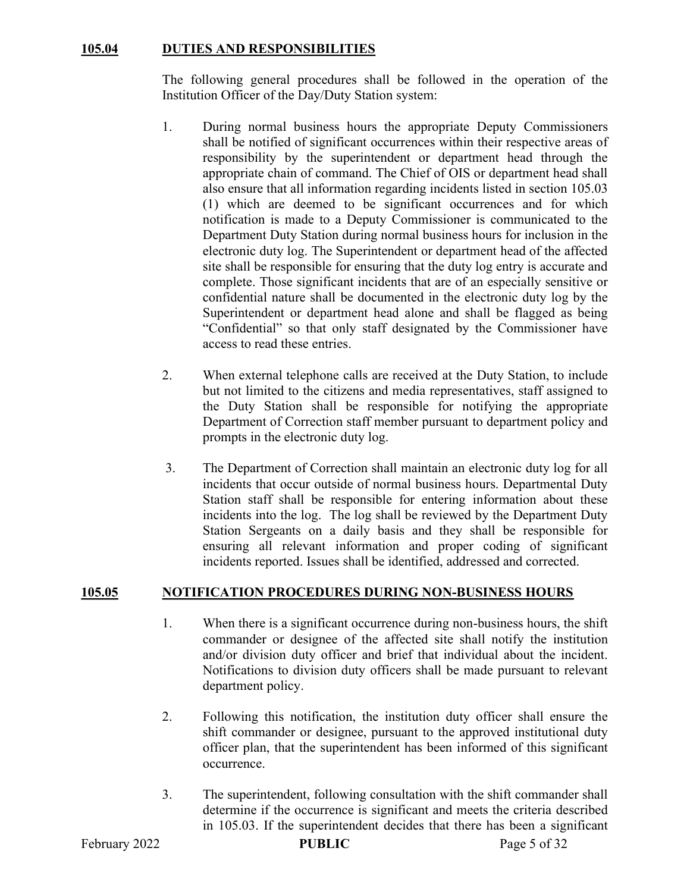### 105.04 DUTIES AND RESPONSIBILITIES

The following general procedures shall be followed in the operation of the Institution Officer of the Day/Duty Station system:

- 1. During normal business hours the appropriate Deputy Commissioners shall be notified of significant occurrences within their respective areas of responsibility by the superintendent or department head through the appropriate chain of command. The Chief of OIS or department head shall also ensure that all information regarding incidents listed in section 105.03 (1) which are deemed to be significant occurrences and for which notification is made to a Deputy Commissioner is communicated to the Department Duty Station during normal business hours for inclusion in the electronic duty log. The Superintendent or department head of the affected site shall be responsible for ensuring that the duty log entry is accurate and complete. Those significant incidents that are of an especially sensitive or confidential nature shall be documented in the electronic duty log by the Superintendent or department head alone and shall be flagged as being "Confidential" so that only staff designated by the Commissioner have access to read these entries.
- 2. When external telephone calls are received at the Duty Station, to include but not limited to the citizens and media representatives, staff assigned to the Duty Station shall be responsible for notifying the appropriate Department of Correction staff member pursuant to department policy and prompts in the electronic duty log.
- 3. The Department of Correction shall maintain an electronic duty log for all incidents that occur outside of normal business hours. Departmental Duty Station staff shall be responsible for entering information about these incidents into the log. The log shall be reviewed by the Department Duty Station Sergeants on a daily basis and they shall be responsible for ensuring all relevant information and proper coding of significant incidents reported. Issues shall be identified, addressed and corrected.

#### 105.05 NOTIFICATION PROCEDURES DURING NON-BUSINESS HOURS

- 1. When there is a significant occurrence during non-business hours, the shift commander or designee of the affected site shall notify the institution and/or division duty officer and brief that individual about the incident. Notifications to division duty officers shall be made pursuant to relevant department policy.
- 2. Following this notification, the institution duty officer shall ensure the shift commander or designee, pursuant to the approved institutional duty officer plan, that the superintendent has been informed of this significant occurrence.
- 3. The superintendent, following consultation with the shift commander shall determine if the occurrence is significant and meets the criteria described in 105.03. If the superintendent decides that there has been a significant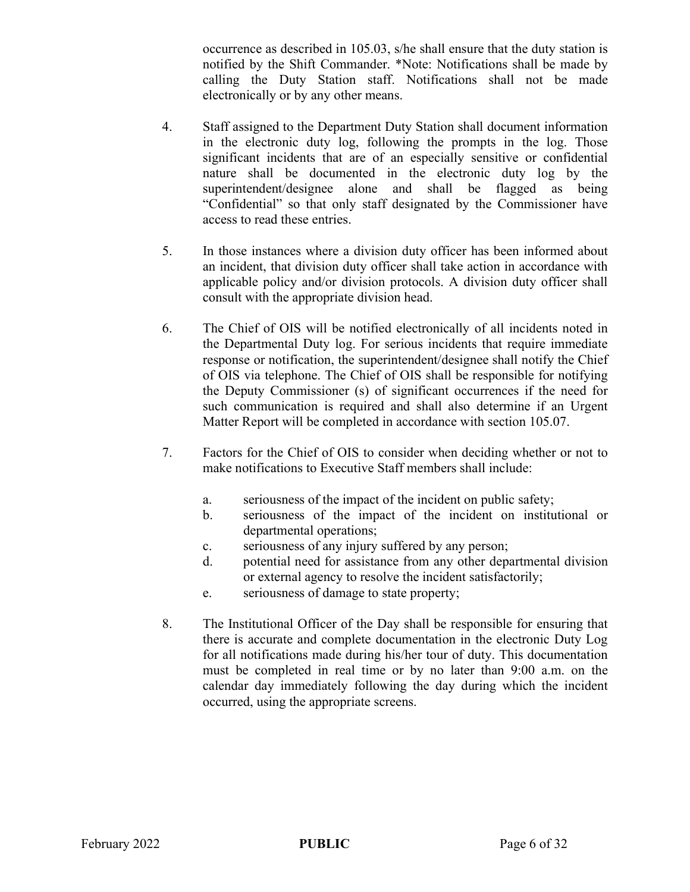occurrence as described in 105.03, s/he shall ensure that the duty station is notified by the Shift Commander. \*Note: Notifications shall be made by calling the Duty Station staff. Notifications shall not be made electronically or by any other means.

- 4. Staff assigned to the Department Duty Station shall document information in the electronic duty log, following the prompts in the log. Those significant incidents that are of an especially sensitive or confidential nature shall be documented in the electronic duty log by the superintendent/designee alone and shall be flagged as being "Confidential" so that only staff designated by the Commissioner have access to read these entries.
- 5. In those instances where a division duty officer has been informed about an incident, that division duty officer shall take action in accordance with applicable policy and/or division protocols. A division duty officer shall consult with the appropriate division head.
- 6. The Chief of OIS will be notified electronically of all incidents noted in the Departmental Duty log. For serious incidents that require immediate response or notification, the superintendent/designee shall notify the Chief of OIS via telephone. The Chief of OIS shall be responsible for notifying the Deputy Commissioner (s) of significant occurrences if the need for such communication is required and shall also determine if an Urgent Matter Report will be completed in accordance with section 105.07.
- 7. Factors for the Chief of OIS to consider when deciding whether or not to make notifications to Executive Staff members shall include:
	- a. seriousness of the impact of the incident on public safety;
	- b. seriousness of the impact of the incident on institutional or departmental operations;
	- c. seriousness of any injury suffered by any person;
	- d. potential need for assistance from any other departmental division or external agency to resolve the incident satisfactorily;
	- e. seriousness of damage to state property;
- 8. The Institutional Officer of the Day shall be responsible for ensuring that there is accurate and complete documentation in the electronic Duty Log for all notifications made during his/her tour of duty. This documentation must be completed in real time or by no later than 9:00 a.m. on the calendar day immediately following the day during which the incident occurred, using the appropriate screens.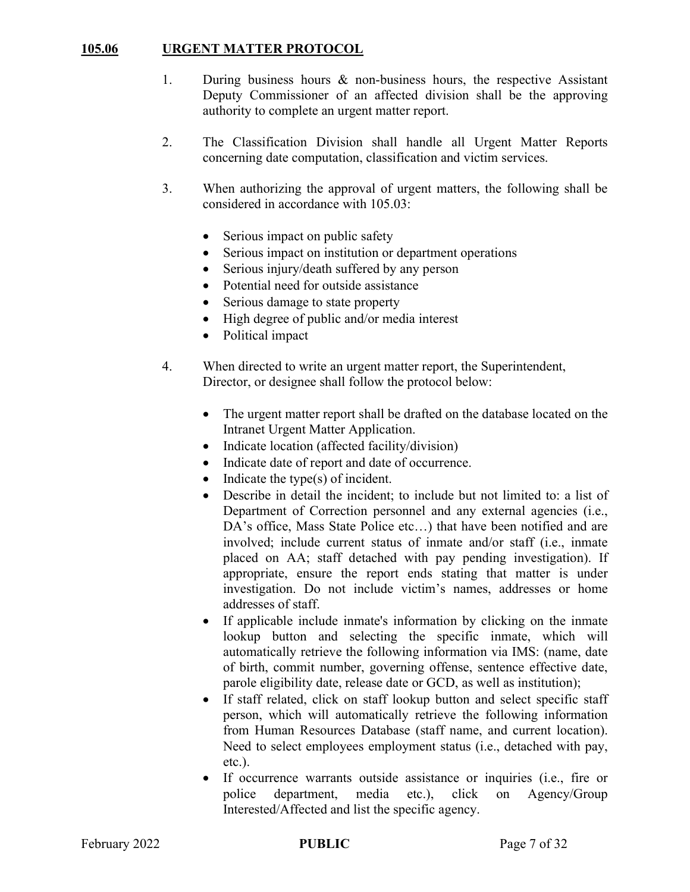### 105.06 URGENT MATTER PROTOCOL

- 1. During business hours & non-business hours, the respective Assistant Deputy Commissioner of an affected division shall be the approving authority to complete an urgent matter report.
- 2. The Classification Division shall handle all Urgent Matter Reports concerning date computation, classification and victim services.
- 3. When authorizing the approval of urgent matters, the following shall be considered in accordance with 105.03:
	- Serious impact on public safety
	- Serious impact on institution or department operations
	- Serious injury/death suffered by any person
	- Potential need for outside assistance
	- Serious damage to state property
	- High degree of public and/or media interest
	- Political impact
- 4. When directed to write an urgent matter report, the Superintendent, Director, or designee shall follow the protocol below:
	- The urgent matter report shall be drafted on the database located on the Intranet Urgent Matter Application.
	- Indicate location (affected facility/division)
	- Indicate date of report and date of occurrence.
	- $\bullet$  Indicate the type(s) of incident.
	- Describe in detail the incident; to include but not limited to: a list of Department of Correction personnel and any external agencies (i.e., DA's office, Mass State Police etc...) that have been notified and are involved; include current status of inmate and/or staff (i.e., inmate placed on AA; staff detached with pay pending investigation). If appropriate, ensure the report ends stating that matter is under investigation. Do not include victim's names, addresses or home addresses of staff.
	- If applicable include inmate's information by clicking on the inmate lookup button and selecting the specific inmate, which will automatically retrieve the following information via IMS: (name, date of birth, commit number, governing offense, sentence effective date, parole eligibility date, release date or GCD, as well as institution);
	- If staff related, click on staff lookup button and select specific staff person, which will automatically retrieve the following information from Human Resources Database (staff name, and current location). Need to select employees employment status (i.e., detached with pay, etc.).
	- If occurrence warrants outside assistance or inquiries (i.e., fire or police department, media etc.), click on Agency/Group Interested/Affected and list the specific agency.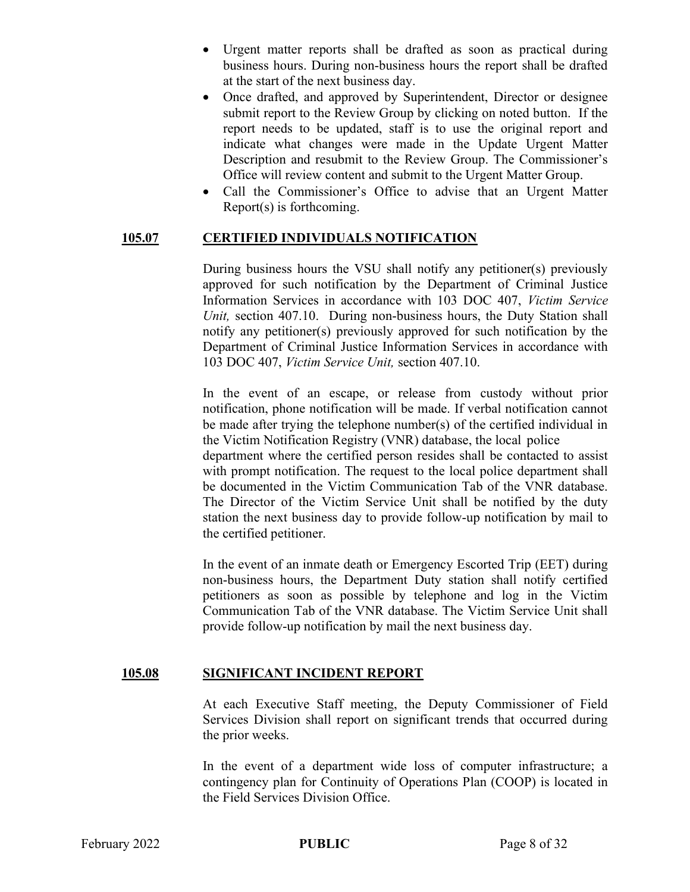- Urgent matter reports shall be drafted as soon as practical during business hours. During non-business hours the report shall be drafted at the start of the next business day.
- Once drafted, and approved by Superintendent, Director or designee submit report to the Review Group by clicking on noted button. If the report needs to be updated, staff is to use the original report and indicate what changes were made in the Update Urgent Matter Description and resubmit to the Review Group. The Commissioner's Office will review content and submit to the Urgent Matter Group.
- Call the Commissioner's Office to advise that an Urgent Matter Report(s) is forthcoming.

#### 105.07 CERTIFIED INDIVIDUALS NOTIFICATION

 During business hours the VSU shall notify any petitioner(s) previously approved for such notification by the Department of Criminal Justice Information Services in accordance with 103 DOC 407, Victim Service Unit, section 407.10. During non-business hours, the Duty Station shall notify any petitioner(s) previously approved for such notification by the Department of Criminal Justice Information Services in accordance with 103 DOC 407, Victim Service Unit, section 407.10.

In the event of an escape, or release from custody without prior notification, phone notification will be made. If verbal notification cannot be made after trying the telephone number(s) of the certified individual in the Victim Notification Registry (VNR) database, the local police

department where the certified person resides shall be contacted to assist with prompt notification. The request to the local police department shall be documented in the Victim Communication Tab of the VNR database. The Director of the Victim Service Unit shall be notified by the duty station the next business day to provide follow-up notification by mail to the certified petitioner.

In the event of an inmate death or Emergency Escorted Trip (EET) during non-business hours, the Department Duty station shall notify certified petitioners as soon as possible by telephone and log in the Victim Communication Tab of the VNR database. The Victim Service Unit shall provide follow-up notification by mail the next business day.

#### 105.08 SIGNIFICANT INCIDENT REPORT

At each Executive Staff meeting, the Deputy Commissioner of Field Services Division shall report on significant trends that occurred during the prior weeks.

In the event of a department wide loss of computer infrastructure; a contingency plan for Continuity of Operations Plan (COOP) is located in the Field Services Division Office.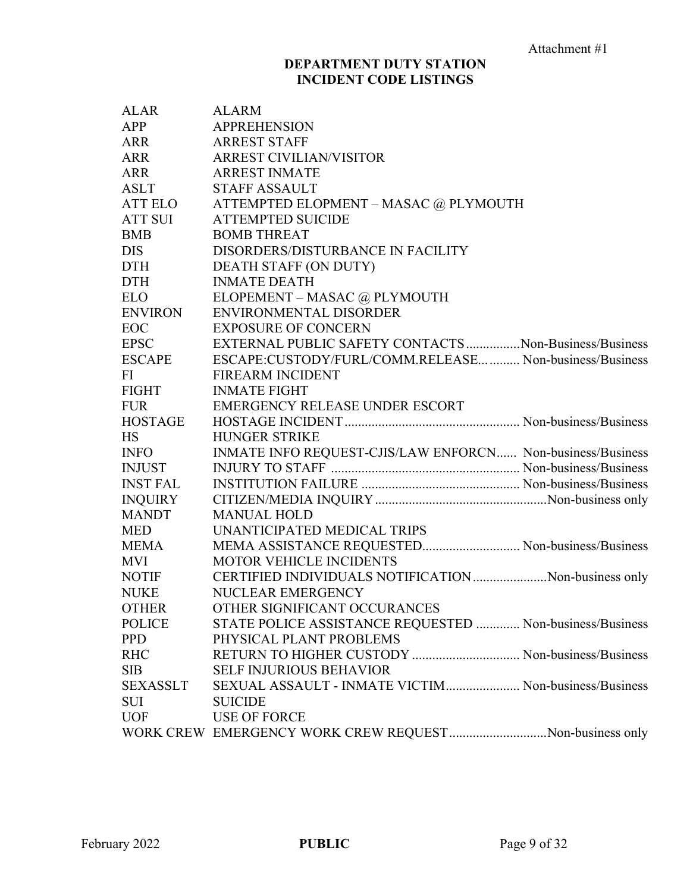# DEPARTMENT DUTY STATION INCIDENT CODE LISTINGS

| <b>ALAR</b>     | <b>ALARM</b>                                               |
|-----------------|------------------------------------------------------------|
| APP             | <b>APPREHENSION</b>                                        |
| ARR             | <b>ARREST STAFF</b>                                        |
| ARR             | <b>ARREST CIVILIAN/VISITOR</b>                             |
| <b>ARR</b>      | <b>ARREST INMATE</b>                                       |
| <b>ASLT</b>     | <b>STAFF ASSAULT</b>                                       |
| ATT ELO         | ATTEMPTED ELOPMENT - MASAC @ PLYMOUTH                      |
| <b>ATT SUI</b>  | <b>ATTEMPTED SUICIDE</b>                                   |
| <b>BMB</b>      | <b>BOMB THREAT</b>                                         |
| <b>DIS</b>      | DISORDERS/DISTURBANCE IN FACILITY                          |
| <b>DTH</b>      | DEATH STAFF (ON DUTY)                                      |
| <b>DTH</b>      | <b>INMATE DEATH</b>                                        |
| <b>ELO</b>      | ELOPEMENT - MASAC @ PLYMOUTH                               |
| <b>ENVIRON</b>  | ENVIRONMENTAL DISORDER                                     |
| EOC             | <b>EXPOSURE OF CONCERN</b>                                 |
| <b>EPSC</b>     | EXTERNAL PUBLIC SAFETY CONTACTS  Non-Business/Business     |
| <b>ESCAPE</b>   | ESCAPE:CUSTODY/FURL/COMM.RELEASE Non-business/Business     |
| FI              | <b>FIREARM INCIDENT</b>                                    |
| <b>FIGHT</b>    | <b>INMATE FIGHT</b>                                        |
| <b>FUR</b>      | <b>EMERGENCY RELEASE UNDER ESCORT</b>                      |
| <b>HOSTAGE</b>  |                                                            |
| <b>HS</b>       | HUNGER STRIKE                                              |
| <b>INFO</b>     | INMATE INFO REQUEST-CJIS/LAW ENFORCN Non-business/Business |
| <b>INJUST</b>   |                                                            |
| <b>INST FAL</b> |                                                            |
| <b>INQUIRY</b>  |                                                            |
| <b>MANDT</b>    | <b>MANUAL HOLD</b>                                         |
| <b>MED</b>      | UNANTICIPATED MEDICAL TRIPS                                |
| <b>MEMA</b>     | MEMA ASSISTANCE REQUESTED Non-business/Business            |
| MVI             | <b>MOTOR VEHICLE INCIDENTS</b>                             |
| NOTIF           | CERTIFIED INDIVIDUALS NOTIFICATION Non-business only       |
| <b>NUKE</b>     | NUCLEAR EMERGENCY                                          |
| <b>OTHER</b>    | OTHER SIGNIFICANT OCCURANCES                               |
| <b>POLICE</b>   | STATE POLICE ASSISTANCE REQUESTED  Non-business/Business   |
| <b>PPD</b>      | PHYSICAL PLANT PROBLEMS                                    |
| <b>RHC</b>      | RETURN TO HIGHER CUSTODY  Non-business/Business            |
| <b>SIB</b>      | <b>SELF INJURIOUS BEHAVIOR</b>                             |
| SEXASSLT        | SEXUAL ASSAULT - INMATE VICTIM Non-business/Business       |
| <b>SUI</b>      | <b>SUICIDE</b>                                             |
| <b>UOF</b>      | <b>USE OF FORCE</b>                                        |
|                 | WORK CREW EMERGENCY WORK CREW REQUESTNon-business only     |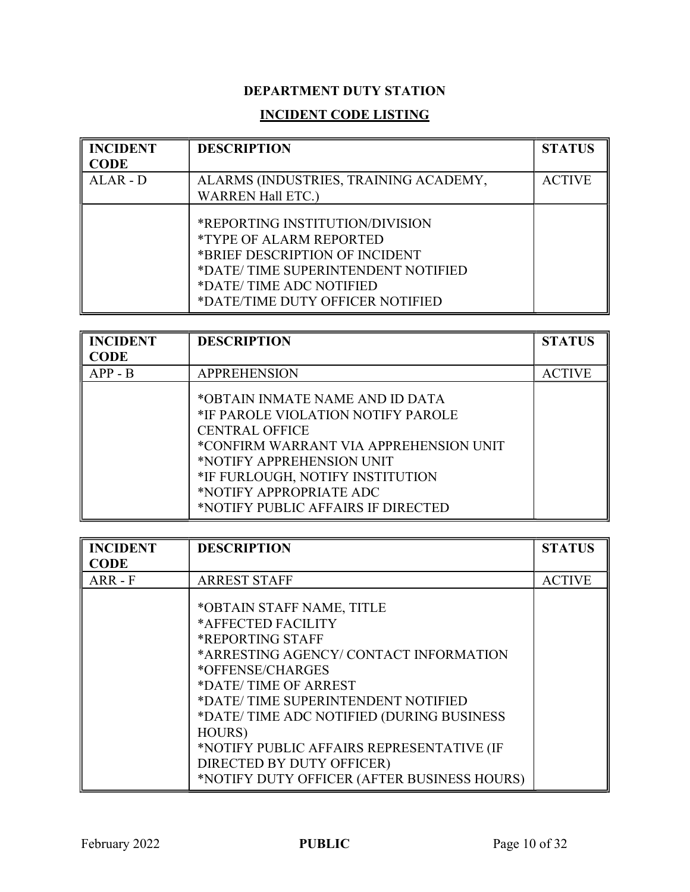# DEPARTMENT DUTY STATION

# INCIDENT CODE LISTING

| <b>INCIDENT</b><br><b>CODE</b> | <b>DESCRIPTION</b>                                                                                                                                                                                              | <b>STATUS</b> |
|--------------------------------|-----------------------------------------------------------------------------------------------------------------------------------------------------------------------------------------------------------------|---------------|
| $ALAR - D$                     | ALARMS (INDUSTRIES, TRAINING ACADEMY,<br><b>WARREN Hall ETC.)</b>                                                                                                                                               | <b>ACTIVE</b> |
|                                | *REPORTING INSTITUTION/DIVISION<br><i><b>*TYPE OF ALARM REPORTED</b></i><br>*BRIEF DESCRIPTION OF INCIDENT<br>*DATE/TIME SUPERINTENDENT NOTIFIED<br>*DATE/TIME ADC NOTIFIED<br>*DATE/TIME DUTY OFFICER NOTIFIED |               |

| <b>INCIDENT</b> | <b>DESCRIPTION</b>                                                                                                                                                                                                                                                         | <b>STATUS</b> |
|-----------------|----------------------------------------------------------------------------------------------------------------------------------------------------------------------------------------------------------------------------------------------------------------------------|---------------|
| CODE            |                                                                                                                                                                                                                                                                            |               |
| $APP - B$       | <b>APPREHENSION</b>                                                                                                                                                                                                                                                        | <b>ACTIVE</b> |
|                 | *OBTAIN INMATE NAME AND ID DATA<br>*IF PAROLE VIOLATION NOTIFY PAROLE<br><b>CENTRAL OFFICE</b><br>*CONFIRM WARRANT VIA APPREHENSION UNIT<br>*NOTIFY APPREHENSION UNIT<br>*IF FURLOUGH, NOTIFY INSTITUTION<br>*NOTIFY APPROPRIATE ADC<br>*NOTIFY PUBLIC AFFAIRS IF DIRECTED |               |

| <b>INCIDENT</b> | <b>DESCRIPTION</b>                                                                                                                                                                                                                                                                                                                                                                   | <b>STATUS</b> |
|-----------------|--------------------------------------------------------------------------------------------------------------------------------------------------------------------------------------------------------------------------------------------------------------------------------------------------------------------------------------------------------------------------------------|---------------|
| <b>CODE</b>     |                                                                                                                                                                                                                                                                                                                                                                                      |               |
| ARR-F           | <b>ARREST STAFF</b>                                                                                                                                                                                                                                                                                                                                                                  | <b>ACTIVE</b> |
|                 | *OBTAIN STAFF NAME, TITLE<br>*AFFECTED FACILITY<br><b>*REPORTING STAFF</b><br>*ARRESTING AGENCY/CONTACT INFORMATION<br>*OFFENSE/CHARGES<br>*DATE/TIME OF ARREST<br>*DATE/TIME SUPERINTENDENT NOTIFIED<br>*DATE/TIME ADC NOTIFIED (DURING BUSINESS<br>HOURS)<br>*NOTIFY PUBLIC AFFAIRS REPRESENTATIVE (IF<br>DIRECTED BY DUTY OFFICER)<br>*NOTIFY DUTY OFFICER (AFTER BUSINESS HOURS) |               |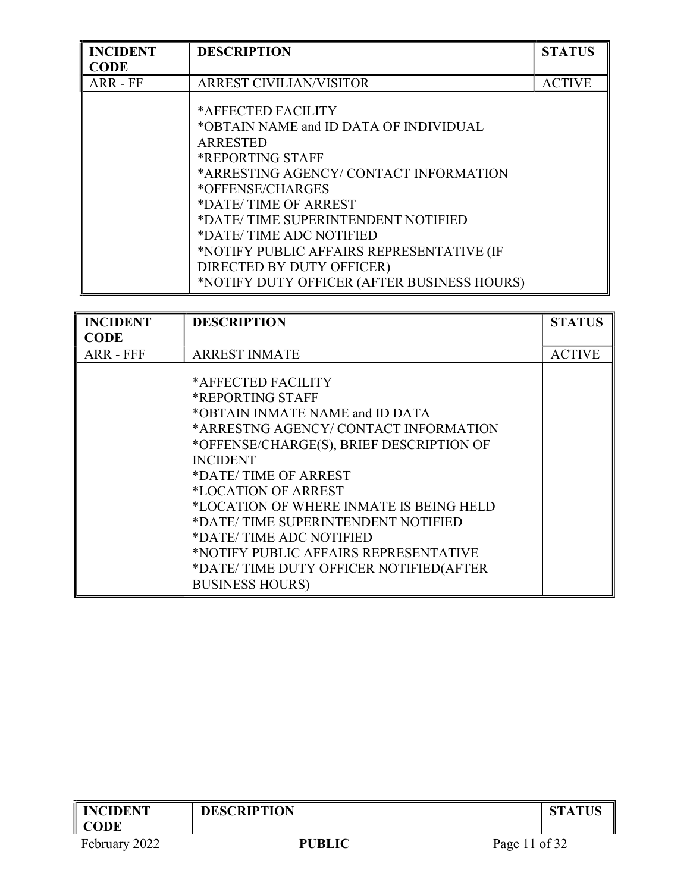| <b>INCIDENT</b> | <b>DESCRIPTION</b>                                                                                                                                                                                                                                                                                                                                                                 | <b>STATUS</b> |
|-----------------|------------------------------------------------------------------------------------------------------------------------------------------------------------------------------------------------------------------------------------------------------------------------------------------------------------------------------------------------------------------------------------|---------------|
| CODE            |                                                                                                                                                                                                                                                                                                                                                                                    |               |
| ARR - FF        | <b>ARREST CIVILIAN/VISITOR</b>                                                                                                                                                                                                                                                                                                                                                     | <b>ACTIVE</b> |
|                 | *AFFECTED FACILITY<br>*OBTAIN NAME and ID DATA OF INDIVIDUAL<br><b>ARRESTED</b><br>*REPORTING STAFF<br>*ARRESTING AGENCY/CONTACT INFORMATION<br>*OFFENSE/CHARGES<br>*DATE/TIME OF ARREST<br>*DATE/TIME SUPERINTENDENT NOTIFIED<br>*DATE/TIME ADC NOTIFIED<br>*NOTIFY PUBLIC AFFAIRS REPRESENTATIVE (IF<br>DIRECTED BY DUTY OFFICER)<br>*NOTIFY DUTY OFFICER (AFTER BUSINESS HOURS) |               |

| <b>INCIDENT</b> | <b>DESCRIPTION</b>                                                                                                                                                                                                                                                                                                                                                                                                                                       | <b>STATUS</b> |
|-----------------|----------------------------------------------------------------------------------------------------------------------------------------------------------------------------------------------------------------------------------------------------------------------------------------------------------------------------------------------------------------------------------------------------------------------------------------------------------|---------------|
| <b>CODE</b>     |                                                                                                                                                                                                                                                                                                                                                                                                                                                          |               |
| ARR - FFF       | <b>ARREST INMATE</b>                                                                                                                                                                                                                                                                                                                                                                                                                                     | <b>ACTIVE</b> |
|                 | *AFFECTED FACILITY<br>*REPORTING STAFF<br>*OBTAIN INMATE NAME and ID DATA<br>*ARRESTNG AGENCY/CONTACT INFORMATION<br>*OFFENSE/CHARGE(S), BRIEF DESCRIPTION OF<br><b>INCIDENT</b><br>*DATE/TIME OF ARREST<br>*LOCATION OF ARREST<br>*LOCATION OF WHERE INMATE IS BEING HELD<br>*DATE/TIME SUPERINTENDENT NOTIFIED<br>*DATE/TIME ADC NOTIFIED<br>*NOTIFY PUBLIC AFFAIRS REPRESENTATIVE<br>*DATE/TIME DUTY OFFICER NOTIFIED(AFTER<br><b>BUSINESS HOURS)</b> |               |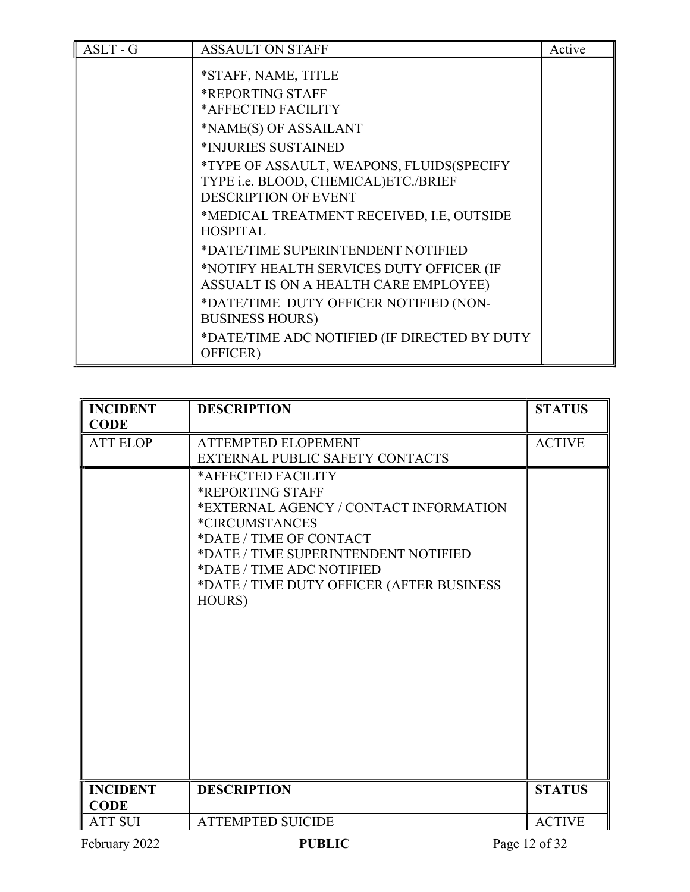| $ASLT - G$ | <b>ASSAULT ON STAFF</b>                                                           | Active |
|------------|-----------------------------------------------------------------------------------|--------|
|            | *STAFF, NAME, TITLE                                                               |        |
|            | *REPORTING STAFF                                                                  |        |
|            | *AFFECTED FACILITY                                                                |        |
|            | *NAME(S) OF ASSAILANT                                                             |        |
|            | *INJURIES SUSTAINED                                                               |        |
|            | *TYPE OF ASSAULT, WEAPONS, FLUIDS(SPECIFY<br>TYPE i.e. BLOOD, CHEMICAL)ETC./BRIEF |        |
|            | <b>DESCRIPTION OF EVENT</b>                                                       |        |
|            | *MEDICAL TREATMENT RECEIVED, I.E, OUTSIDE<br><b>HOSPITAL</b>                      |        |
|            | *DATE/TIME SUPERINTENDENT NOTIFIED                                                |        |
|            | *NOTIFY HEALTH SERVICES DUTY OFFICER (IF<br>ASSUALT IS ON A HEALTH CARE EMPLOYEE) |        |
|            | *DATE/TIME DUTY OFFICER NOTIFIED (NON-<br><b>BUSINESS HOURS)</b>                  |        |
|            | *DATE/TIME ADC NOTIFIED (IF DIRECTED BY DUTY<br>OFFICER)                          |        |

| <b>INCIDENT</b><br><b>CODE</b> | <b>DESCRIPTION</b>                                                                                                                                                                                                                                                      | <b>STATUS</b> |
|--------------------------------|-------------------------------------------------------------------------------------------------------------------------------------------------------------------------------------------------------------------------------------------------------------------------|---------------|
| <b>ATT ELOP</b>                | <b>ATTEMPTED ELOPEMENT</b><br>EXTERNAL PUBLIC SAFETY CONTACTS                                                                                                                                                                                                           | <b>ACTIVE</b> |
|                                | *AFFECTED FACILITY<br>*REPORTING STAFF<br>*EXTERNAL AGENCY / CONTACT INFORMATION<br><i><b>*CIRCUMSTANCES</b></i><br>*DATE / TIME OF CONTACT<br>*DATE / TIME SUPERINTENDENT NOTIFIED<br>*DATE / TIME ADC NOTIFIED<br>*DATE / TIME DUTY OFFICER (AFTER BUSINESS<br>HOURS) |               |
| <b>INCIDENT</b><br><b>CODE</b> | <b>DESCRIPTION</b>                                                                                                                                                                                                                                                      | <b>STATUS</b> |
| <b>ATT SUI</b>                 | <b>ATTEMPTED SUICIDE</b>                                                                                                                                                                                                                                                | <b>ACTIVE</b> |
| February 2022                  | <b>PUBLIC</b>                                                                                                                                                                                                                                                           | Page 12 of 32 |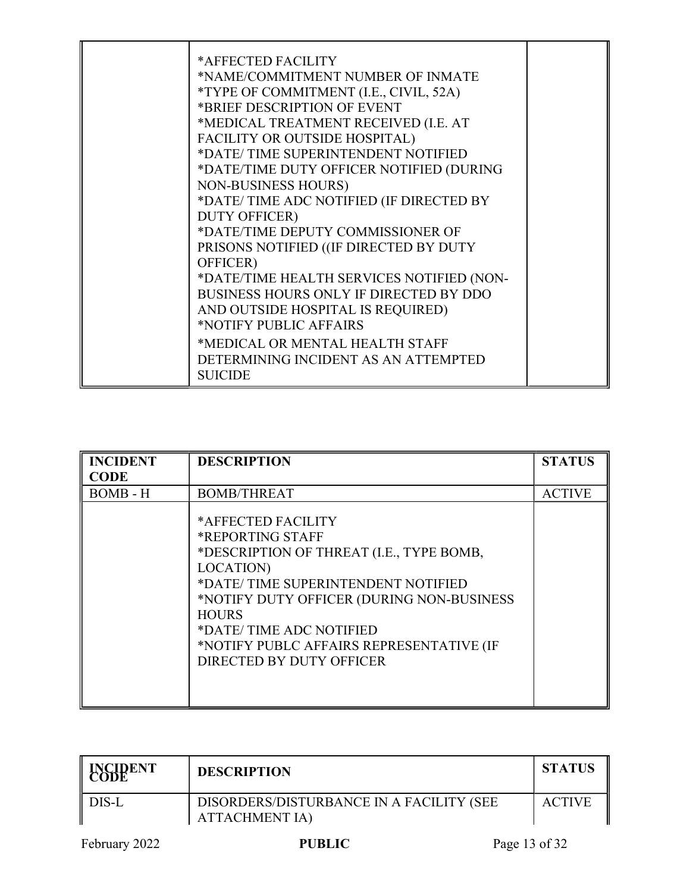| *AFFECTED FACILITY<br>*NAME/COMMITMENT NUMBER OF INMATE<br>*TYPE OF COMMITMENT (I.E., CIVIL, 52A)<br>*BRIEF DESCRIPTION OF EVENT<br>*MEDICAL TREATMENT RECEIVED (I.E. AT<br>FACILITY OR OUTSIDE HOSPITAL)<br>*DATE/TIME SUPERINTENDENT NOTIFIED<br>*DATE/TIME DUTY OFFICER NOTIFIED (DURING<br><b>NON-BUSINESS HOURS)</b><br>*DATE/TIME ADC NOTIFIED (IF DIRECTED BY<br><b>DUTY OFFICER)</b><br>*DATE/TIME DEPUTY COMMISSIONER OF<br>PRISONS NOTIFIED ((IF DIRECTED BY DUTY<br>OFFICER) |  |
|-----------------------------------------------------------------------------------------------------------------------------------------------------------------------------------------------------------------------------------------------------------------------------------------------------------------------------------------------------------------------------------------------------------------------------------------------------------------------------------------|--|
| *DATE/TIME HEALTH SERVICES NOTIFIED (NON-<br>BUSINESS HOURS ONLY IF DIRECTED BY DDO<br>AND OUTSIDE HOSPITAL IS REQUIRED)<br>*NOTIFY PUBLIC AFFAIRS<br>*MEDICAL OR MENTAL HEALTH STAFF<br>DETERMINING INCIDENT AS AN ATTEMPTED<br><b>SUICIDE</b>                                                                                                                                                                                                                                         |  |

| <b>INCIDENT</b><br><b>CODE</b> | <b>DESCRIPTION</b>                                                                                                                                                                                                                                                                                    | <b>STATUS</b> |
|--------------------------------|-------------------------------------------------------------------------------------------------------------------------------------------------------------------------------------------------------------------------------------------------------------------------------------------------------|---------------|
| <b>BOMB</b> - H                | <b>BOMB/THREAT</b>                                                                                                                                                                                                                                                                                    | <b>ACTIVE</b> |
|                                | *AFFECTED FACILITY<br>*REPORTING STAFF<br>*DESCRIPTION OF THREAT (I.E., TYPE BOMB,<br>LOCATION)<br>*DATE/TIME SUPERINTENDENT NOTIFIED<br>*NOTIFY DUTY OFFICER (DURING NON-BUSINESS<br><b>HOURS</b><br>*DATE/TIME ADC NOTIFIED<br>*NOTIFY PUBLC AFFAIRS REPRESENTATIVE (IF<br>DIRECTED BY DUTY OFFICER |               |

| <b>EODE</b> NT | <b>DESCRIPTION</b>                                                | <b>STATUS</b> |
|----------------|-------------------------------------------------------------------|---------------|
| DIS-L          | DISORDERS/DISTURBANCE IN A FACILITY (SEE<br><b>ATTACHMENT IA)</b> | <b>ACTIVE</b> |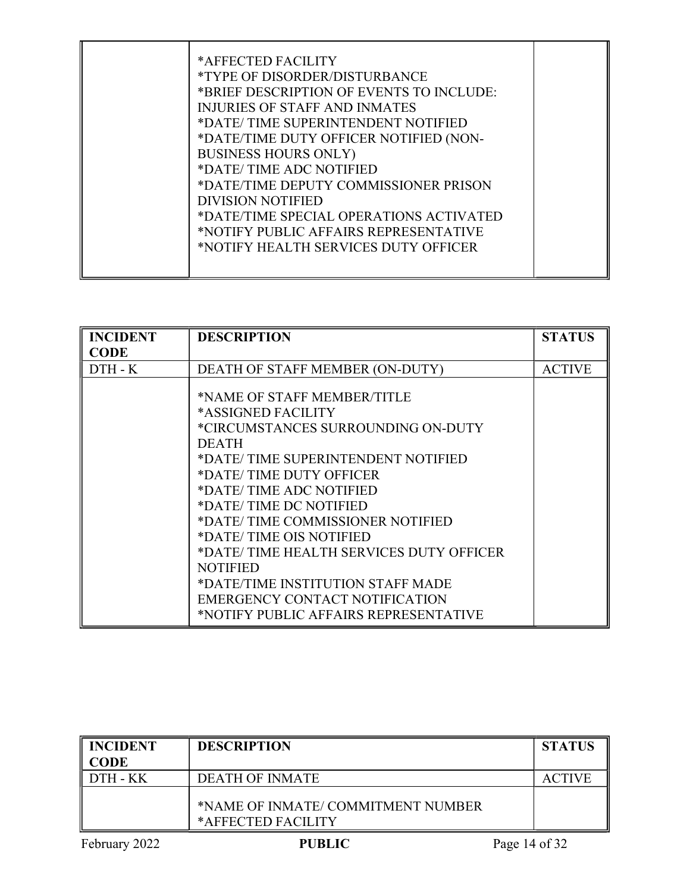| *AFFECTED FACILITY<br><i>*TYPE OF DISORDER/DISTURBANCE</i><br>*BRIEF DESCRIPTION OF EVENTS TO INCLUDE:<br><b>INJURIES OF STAFF AND INMATES</b><br>*DATE/TIME SUPERINTENDENT NOTIFIED<br>*DATE/TIME DUTY OFFICER NOTIFIED (NON-<br><b>BUSINESS HOURS ONLY)</b><br>*DATE/TIME ADC NOTIFIED |  |
|------------------------------------------------------------------------------------------------------------------------------------------------------------------------------------------------------------------------------------------------------------------------------------------|--|
| *DATE/TIME DEPUTY COMMISSIONER PRISON<br>DIVISION NOTIFIED<br>*DATE/TIME SPECIAL OPERATIONS ACTIVATED<br>*NOTIFY PUBLIC AFFAIRS REPRESENTATIVE<br>*NOTIFY HEALTH SERVICES DUTY OFFICER                                                                                                   |  |

| <b>INCIDENT</b> | <b>DESCRIPTION</b>                                                                                                                                                                                                                                                                                                                                                                                                                                                  | <b>STATUS</b> |
|-----------------|---------------------------------------------------------------------------------------------------------------------------------------------------------------------------------------------------------------------------------------------------------------------------------------------------------------------------------------------------------------------------------------------------------------------------------------------------------------------|---------------|
| <b>CODE</b>     |                                                                                                                                                                                                                                                                                                                                                                                                                                                                     |               |
| $DTH - K$       | DEATH OF STAFF MEMBER (ON-DUTY)                                                                                                                                                                                                                                                                                                                                                                                                                                     | <b>ACTIVE</b> |
|                 | *NAME OF STAFF MEMBER/TITLE<br>*ASSIGNED FACILITY<br>*CIRCUMSTANCES SURROUNDING ON-DUTY<br><b>DEATH</b><br>*DATE/TIME SUPERINTENDENT NOTIFIED<br>*DATE/TIME DUTY OFFICER<br>*DATE/TIME ADC NOTIFIED<br>*DATE/TIME DC NOTIFIED<br>*DATE/TIME COMMISSIONER NOTIFIED<br>*DATE/TIME OIS NOTIFIED<br>*DATE/TIME HEALTH SERVICES DUTY OFFICER<br>NOTIFIED<br>*DATE/TIME INSTITUTION STAFF MADE<br>EMERGENCY CONTACT NOTIFICATION<br>*NOTIFY PUBLIC AFFAIRS REPRESENTATIVE |               |

| INCIDENT<br><b>CODE</b> | <b>DESCRIPTION</b>                                      |               | <b>STATUS</b> |
|-------------------------|---------------------------------------------------------|---------------|---------------|
| DTH - KK                | <b>DEATH OF INMATE</b>                                  |               | <b>ACTIVE</b> |
|                         | *NAME OF INMATE/COMMITMENT NUMBER<br>*AFFECTED FACILITY |               |               |
| February 2022           | <b>PUBLIC</b>                                           | Page 14 of 32 |               |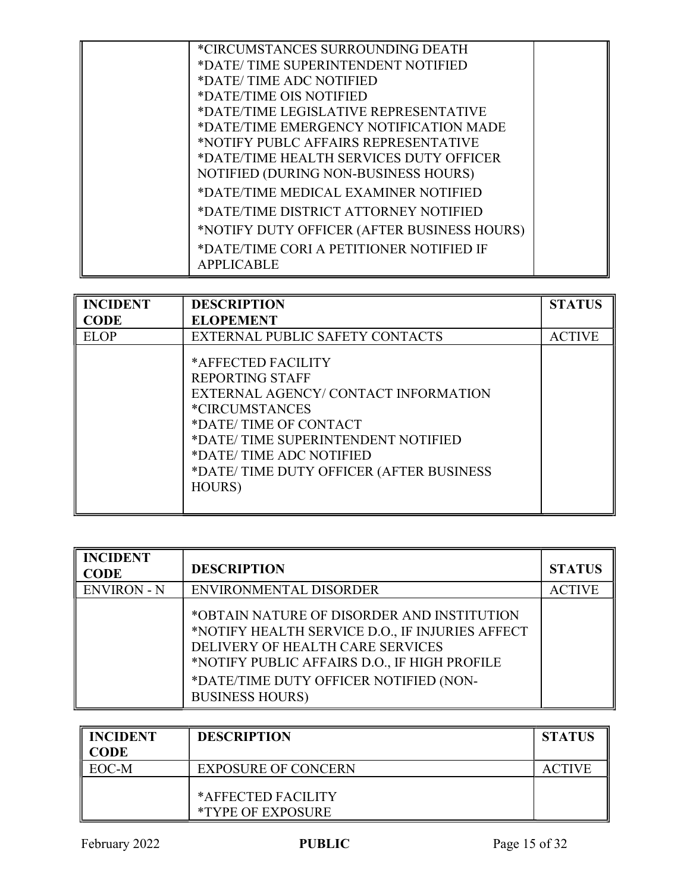| *CIRCUMSTANCES SURROUNDING DEATH            |  |
|---------------------------------------------|--|
|                                             |  |
| *DATE/TIME SUPERINTENDENT NOTIFIED          |  |
| *DATE/TIME ADC NOTIFIED                     |  |
| *DATE/TIME OIS NOTIFIED                     |  |
| *DATE/TIME LEGISLATIVE REPRESENTATIVE       |  |
| *DATE/TIME EMERGENCY NOTIFICATION MADE      |  |
| *NOTIFY PUBLC AFFAIRS REPRESENTATIVE        |  |
| *DATE/TIME HEALTH SERVICES DUTY OFFICER     |  |
| NOTIFIED (DURING NON-BUSINESS HOURS)        |  |
| *DATE/TIME MEDICAL EXAMINER NOTIFIED        |  |
| *DATE/TIME DISTRICT ATTORNEY NOTIFIED       |  |
| *NOTIFY DUTY OFFICER (AFTER BUSINESS HOURS) |  |
| *DATE/TIME CORI A PETITIONER NOTIFIED IF    |  |
| <b>APPLICABLE</b>                           |  |
|                                             |  |

| <b>INCIDENT</b> | <b>DESCRIPTION</b>                                                                                                                                                                                                                                          | <b>STATUS</b> |
|-----------------|-------------------------------------------------------------------------------------------------------------------------------------------------------------------------------------------------------------------------------------------------------------|---------------|
| <b>CODE</b>     | <b>ELOPEMENT</b>                                                                                                                                                                                                                                            |               |
| <b>ELOP</b>     | EXTERNAL PUBLIC SAFETY CONTACTS                                                                                                                                                                                                                             | <b>ACTIVE</b> |
|                 | *AFFECTED FACILITY<br>REPORTING STAFF<br>EXTERNAL AGENCY/CONTACT INFORMATION<br><i><b>*CIRCUMSTANCES</b></i><br>*DATE/TIME OF CONTACT<br>*DATE/TIME SUPERINTENDENT NOTIFIED<br>*DATE/TIME ADC NOTIFIED<br>*DATE/TIME DUTY OFFICER (AFTER BUSINESS<br>HOURS) |               |

| <b>INCIDENT</b><br><b>CODE</b> | <b>DESCRIPTION</b>                                                                                                                                                                                                                                    | <b>STATUS</b> |
|--------------------------------|-------------------------------------------------------------------------------------------------------------------------------------------------------------------------------------------------------------------------------------------------------|---------------|
| <b>ENVIRON - N</b>             | ENVIRONMENTAL DISORDER                                                                                                                                                                                                                                | <b>ACTIVE</b> |
|                                | *OBTAIN NATURE OF DISORDER AND INSTITUTION<br>*NOTIFY HEALTH SERVICE D.O., IF INJURIES AFFECT<br>DELIVERY OF HEALTH CARE SERVICES<br>*NOTIFY PUBLIC AFFAIRS D.O., IF HIGH PROFILE<br>*DATE/TIME DUTY OFFICER NOTIFIED (NON-<br><b>BUSINESS HOURS)</b> |               |

| <b>INCIDENT</b><br><b>CODE</b> | <b>DESCRIPTION</b>                             | <b>STATUS</b> |
|--------------------------------|------------------------------------------------|---------------|
| EOC-M                          | <b>EXPOSURE OF CONCERN</b>                     | <b>ACTIVE</b> |
|                                | *AFFECTED FACILITY<br><i>*TYPE OF EXPOSURE</i> |               |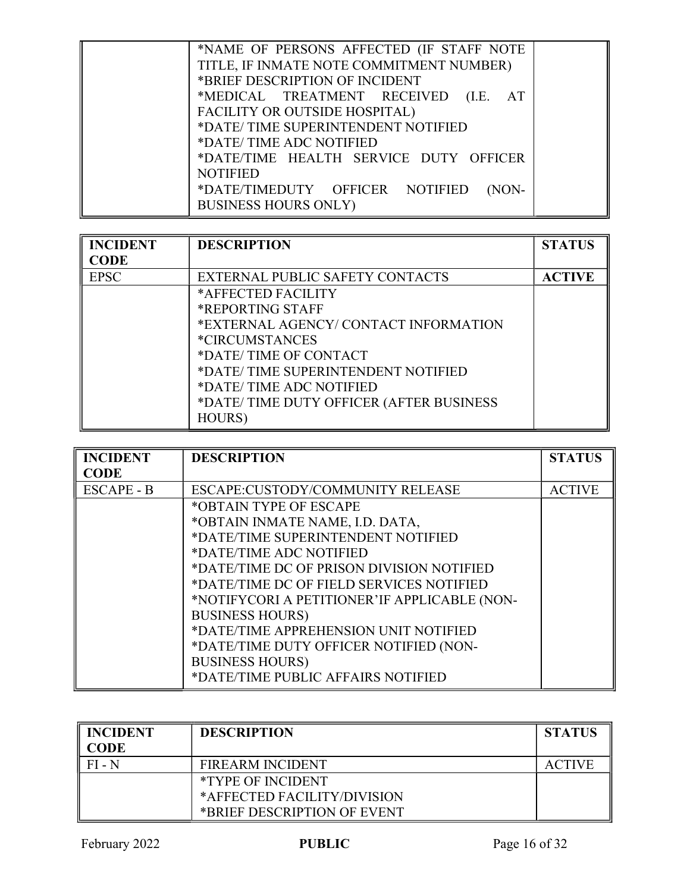| *NAME OF PERSONS AFFECTED (IF STAFF NOTE |  |
|------------------------------------------|--|
| TITLE, IF INMATE NOTE COMMITMENT NUMBER) |  |
| *BRIEF DESCRIPTION OF INCIDENT           |  |
| *MEDICAL TREATMENT RECEIVED (I.E.<br>AT  |  |
| FACILITY OR OUTSIDE HOSPITAL)            |  |
| *DATE/TIME SUPERINTENDENT NOTIFIED       |  |
| *DATE/TIME ADC NOTIFIED                  |  |
| *DATE/TIME HEALTH SERVICE DUTY OFFICER   |  |
| <b>NOTIFIED</b>                          |  |
| *DATE/TIMEDUTY OFFICER NOTIFIED<br>(NON- |  |
| <b>BUSINESS HOURS ONLY)</b>              |  |
|                                          |  |

| <b>INCIDENT</b> | <b>DESCRIPTION</b>                      | <b>STATUS</b> |
|-----------------|-----------------------------------------|---------------|
| CODE            |                                         |               |
| <b>EPSC</b>     | EXTERNAL PUBLIC SAFETY CONTACTS         | <b>ACTIVE</b> |
|                 | *AFFECTED FACILITY                      |               |
|                 | <b>*REPORTING STAFF</b>                 |               |
|                 | *EXTERNAL AGENCY/ CONTACT INFORMATION   |               |
|                 | <i><b>*CIRCUMSTANCES</b></i>            |               |
|                 | *DATE/TIME OF CONTACT                   |               |
|                 | *DATE/TIME SUPERINTENDENT NOTIFIED      |               |
|                 | *DATE/TIME ADC NOTIFIED                 |               |
|                 | *DATE/TIME DUTY OFFICER (AFTER BUSINESS |               |
|                 | HOURS)                                  |               |

| <b>INCIDENT</b>   | <b>DESCRIPTION</b>                           | <b>STATUS</b> |
|-------------------|----------------------------------------------|---------------|
| <b>CODE</b>       |                                              |               |
| <b>ESCAPE - B</b> | ESCAPE:CUSTODY/COMMUNITY RELEASE             | <b>ACTIVE</b> |
|                   | *OBTAIN TYPE OF ESCAPE                       |               |
|                   | *OBTAIN INMATE NAME, I.D. DATA,              |               |
|                   | *DATE/TIME SUPERINTENDENT NOTIFIED           |               |
|                   | *DATE/TIME ADC NOTIFIED                      |               |
|                   | *DATE/TIME DC OF PRISON DIVISION NOTIFIED    |               |
|                   | *DATE/TIME DC OF FIELD SERVICES NOTIFIED     |               |
|                   | *NOTIFYCORI A PETITIONER'IF APPLICABLE (NON- |               |
|                   | <b>BUSINESS HOURS)</b>                       |               |
|                   | *DATE/TIME APPREHENSION UNIT NOTIFIED        |               |
|                   | *DATE/TIME DUTY OFFICER NOTIFIED (NON-       |               |
|                   | <b>BUSINESS HOURS)</b>                       |               |
|                   | *DATE/TIME PUBLIC AFFAIRS NOTIFIED           |               |

| <b>INCIDENT</b><br><b>CODE</b> | <b>DESCRIPTION</b>          | <b>STATUS</b> |
|--------------------------------|-----------------------------|---------------|
| $FI - N$                       | <b>FIREARM INCIDENT</b>     | <b>ACTIVE</b> |
|                                | <i>*TYPE OF INCIDENT</i>    |               |
|                                | *AFFECTED FACILITY/DIVISION |               |
|                                | *BRIEF DESCRIPTION OF EVENT |               |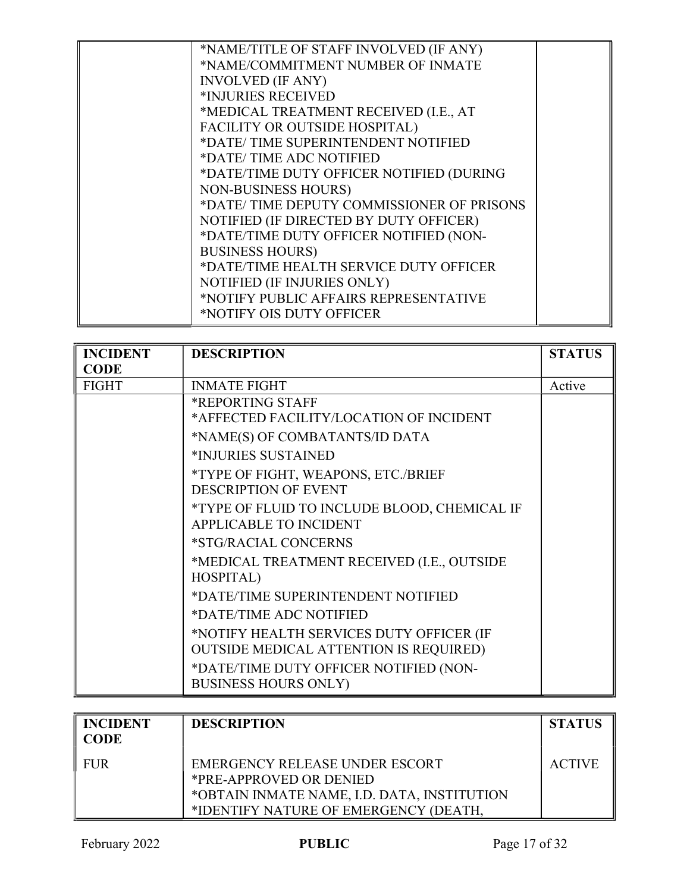| *NAME/TITLE OF STAFF INVOLVED (IF ANY)    |  |
|-------------------------------------------|--|
| *NAME/COMMITMENT NUMBER OF INMATE         |  |
| <b>INVOLVED (IF ANY)</b>                  |  |
| *INJURIES RECEIVED                        |  |
| *MEDICAL TREATMENT RECEIVED (I.E., AT     |  |
| FACILITY OR OUTSIDE HOSPITAL)             |  |
| *DATE/TIME SUPERINTENDENT NOTIFIED        |  |
| *DATE/TIME ADC NOTIFIED                   |  |
| *DATE/TIME DUTY OFFICER NOTIFIED (DURING  |  |
| <b>NON-BUSINESS HOURS)</b>                |  |
| *DATE/TIME DEPUTY COMMISSIONER OF PRISONS |  |
| NOTIFIED (IF DIRECTED BY DUTY OFFICER)    |  |
| *DATE/TIME DUTY OFFICER NOTIFIED (NON-    |  |
| <b>BUSINESS HOURS)</b>                    |  |
| *DATE/TIME HEALTH SERVICE DUTY OFFICER    |  |
| NOTIFIED (IF INJURIES ONLY)               |  |
| *NOTIFY PUBLIC AFFAIRS REPRESENTATIVE     |  |
| *NOTIFY OIS DUTY OFFICER                  |  |
|                                           |  |

| <b>INCIDENT</b> | <b>DESCRIPTION</b>                            | <b>STATUS</b> |
|-----------------|-----------------------------------------------|---------------|
| <b>CODE</b>     |                                               |               |
| <b>FIGHT</b>    | <b>INMATE FIGHT</b>                           | Active        |
|                 | *REPORTING STAFF                              |               |
|                 | *AFFECTED FACILITY/LOCATION OF INCIDENT       |               |
|                 | *NAME(S) OF COMBATANTS/ID DATA                |               |
|                 | *INJURIES SUSTAINED                           |               |
|                 | *TYPE OF FIGHT, WEAPONS, ETC./BRIEF           |               |
|                 | <b>DESCRIPTION OF EVENT</b>                   |               |
|                 | *TYPE OF FLUID TO INCLUDE BLOOD, CHEMICAL IF  |               |
|                 | <b>APPLICABLE TO INCIDENT</b>                 |               |
|                 | *STG/RACIAL CONCERNS                          |               |
|                 | *MEDICAL TREATMENT RECEIVED (I.E., OUTSIDE    |               |
|                 | HOSPITAL)                                     |               |
|                 | *DATE/TIME SUPERINTENDENT NOTIFIED            |               |
|                 | *DATE/TIME ADC NOTIFIED                       |               |
|                 | *NOTIFY HEALTH SERVICES DUTY OFFICER (IF      |               |
|                 | <b>OUTSIDE MEDICAL ATTENTION IS REQUIRED)</b> |               |
|                 | *DATE/TIME DUTY OFFICER NOTIFIED (NON-        |               |
|                 | <b>BUSINESS HOURS ONLY)</b>                   |               |

| <b>INCIDENT</b><br><b>CODE</b> | <b>DESCRIPTION</b>                                                                                                                                | <b>STATUS</b> |
|--------------------------------|---------------------------------------------------------------------------------------------------------------------------------------------------|---------------|
| <b>FUR</b>                     | EMERGENCY RELEASE UNDER ESCORT<br>*PRE-APPROVED OR DENIED<br>*OBTAIN INMATE NAME, I.D. DATA, INSTITUTION<br>*IDENTIFY NATURE OF EMERGENCY (DEATH, | <b>ACTIVE</b> |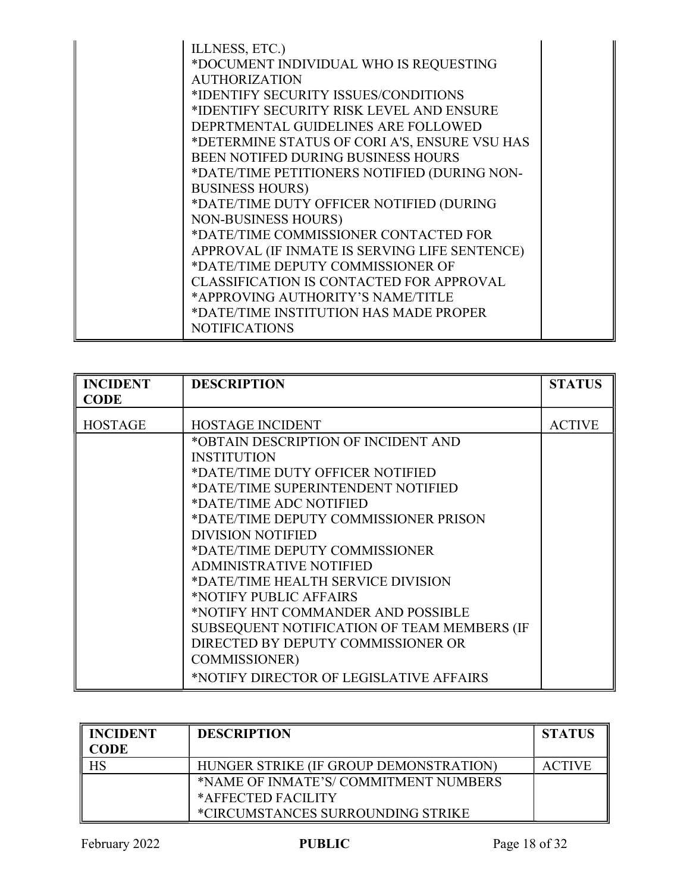| <b>NOTIFICATIONS</b> |
|----------------------|
|----------------------|

| <b>INCIDENT</b> | <b>DESCRIPTION</b>                          | <b>STATUS</b> |
|-----------------|---------------------------------------------|---------------|
| <b>CODE</b>     |                                             |               |
| <b>HOSTAGE</b>  | <b>HOSTAGE INCIDENT</b>                     | <b>ACTIVE</b> |
|                 | *OBTAIN DESCRIPTION OF INCIDENT AND         |               |
|                 | <b>INSTITUTION</b>                          |               |
|                 | *DATE/TIME DUTY OFFICER NOTIFIED            |               |
|                 | *DATE/TIME SUPERINTENDENT NOTIFIED          |               |
|                 | *DATE/TIME ADC NOTIFIED                     |               |
|                 | *DATE/TIME DEPUTY COMMISSIONER PRISON       |               |
|                 | <b>DIVISION NOTIFIED</b>                    |               |
|                 | *DATE/TIME DEPUTY COMMISSIONER              |               |
|                 | <b>ADMINISTRATIVE NOTIFIED</b>              |               |
|                 | *DATE/TIME HEALTH SERVICE DIVISION          |               |
|                 | *NOTIFY PUBLIC AFFAIRS                      |               |
|                 | *NOTIFY HNT COMMANDER AND POSSIBLE          |               |
|                 | SUBSEQUENT NOTIFICATION OF TEAM MEMBERS (IF |               |
|                 | DIRECTED BY DEPUTY COMMISSIONER OR          |               |
|                 | <b>COMMISSIONER</b> )                       |               |
|                 | *NOTIFY DIRECTOR OF LEGISLATIVE AFFAIRS     |               |

| <b>INCIDENT</b><br>CODE | <b>DESCRIPTION</b>                     | <b>STATUS</b> |
|-------------------------|----------------------------------------|---------------|
| HS                      | HUNGER STRIKE (IF GROUP DEMONSTRATION) | <b>ACTIVE</b> |
|                         | *NAME OF INMATE'S/COMMITMENT NUMBERS   |               |
|                         | *AFFECTED FACILITY                     |               |
|                         | *CIRCUMSTANCES SURROUNDING STRIKE      |               |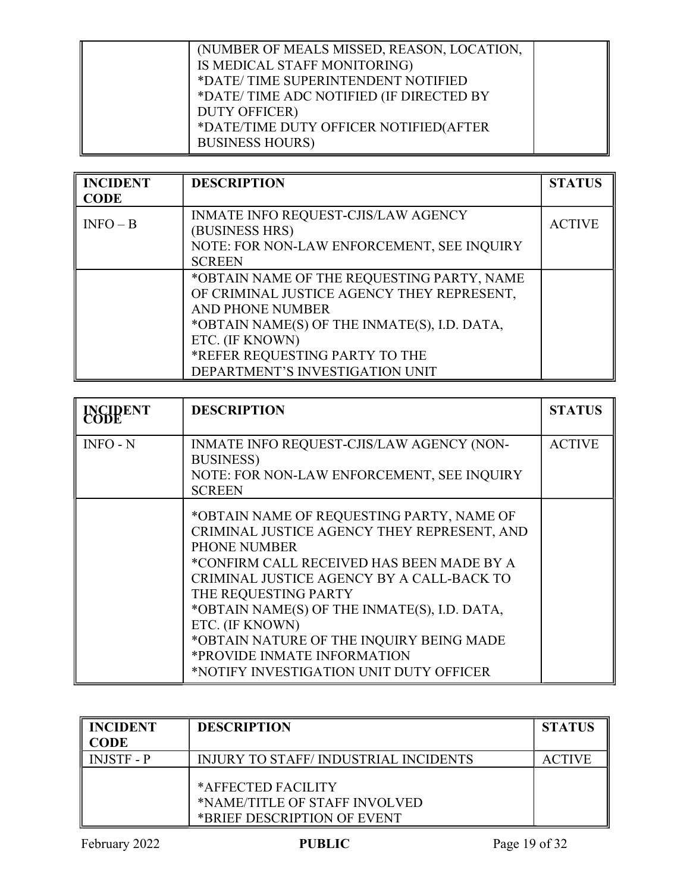| (NUMBER OF MEALS MISSED, REASON, LOCATION,<br>IS MEDICAL STAFF MONITORING)<br>*DATE/TIME SUPERINTENDENT NOTIFIED<br>*DATE/TIME ADC NOTIFIED (IF DIRECTED BY<br><b>DUTY OFFICER</b> )<br>*DATE/TIME DUTY OFFICER NOTIFIED(AFTER |  |
|--------------------------------------------------------------------------------------------------------------------------------------------------------------------------------------------------------------------------------|--|
| <b>BUSINESS HOURS)</b>                                                                                                                                                                                                         |  |

| <b>INCIDENT</b> | <b>DESCRIPTION</b>                           | <b>STATUS</b> |
|-----------------|----------------------------------------------|---------------|
| <b>CODE</b>     |                                              |               |
| $INFO - B$      | INMATE INFO REQUEST-CJIS/LAW AGENCY          | <b>ACTIVE</b> |
|                 | (BUSINESS HRS)                               |               |
|                 | NOTE: FOR NON-LAW ENFORCEMENT, SEE INQUIRY   |               |
|                 | <b>SCREEN</b>                                |               |
|                 | *OBTAIN NAME OF THE REQUESTING PARTY, NAME   |               |
|                 | OF CRIMINAL JUSTICE AGENCY THEY REPRESENT,   |               |
|                 | <b>AND PHONE NUMBER</b>                      |               |
|                 | *OBTAIN NAME(S) OF THE INMATE(S), I.D. DATA, |               |
|                 | ETC. (IF KNOWN)                              |               |
|                 | *REFER REQUESTING PARTY TO THE               |               |
|                 | DEPARTMENT'S INVESTIGATION UNIT              |               |

| <b>INCIDENT</b> | <b>DESCRIPTION</b>                                                                                                                                                                                                                                                                                                                                                                                                         | <b>STATUS</b> |
|-----------------|----------------------------------------------------------------------------------------------------------------------------------------------------------------------------------------------------------------------------------------------------------------------------------------------------------------------------------------------------------------------------------------------------------------------------|---------------|
| $INFO - N$      | INMATE INFO REQUEST-CJIS/LAW AGENCY (NON-<br><b>BUSINESS</b> )<br>NOTE: FOR NON-LAW ENFORCEMENT, SEE INQUIRY<br><b>SCREEN</b>                                                                                                                                                                                                                                                                                              | <b>ACTIVE</b> |
|                 | *OBTAIN NAME OF REQUESTING PARTY, NAME OF<br>CRIMINAL JUSTICE AGENCY THEY REPRESENT, AND<br><b>PHONE NUMBER</b><br>*CONFIRM CALL RECEIVED HAS BEEN MADE BY A<br>CRIMINAL JUSTICE AGENCY BY A CALL-BACK TO<br>THE REQUESTING PARTY<br>*OBTAIN NAME(S) OF THE INMATE(S), I.D. DATA,<br>ETC. (IF KNOWN)<br>*OBTAIN NATURE OF THE INQUIRY BEING MADE<br>*PROVIDE INMATE INFORMATION<br>*NOTIFY INVESTIGATION UNIT DUTY OFFICER |               |

| <b>INCIDENT</b><br>CODE | <b>DESCRIPTION</b>                                                                 | <b>STATUS</b> |
|-------------------------|------------------------------------------------------------------------------------|---------------|
| <b>INJSTF - P</b>       | <b>INJURY TO STAFF/INDUSTRIAL INCIDENTS</b>                                        | <b>ACTIVE</b> |
|                         | *AFFECTED FACILITY<br>*NAME/TITLE OF STAFF INVOLVED<br>*BRIEF DESCRIPTION OF EVENT |               |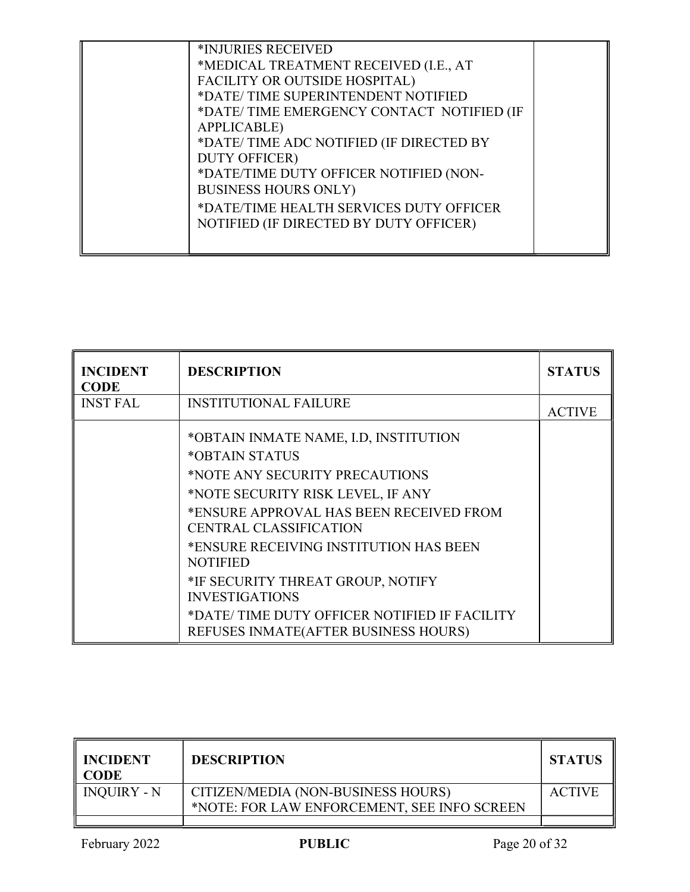| *INJURIES RECEIVED<br>*MEDICAL TREATMENT RECEIVED (I.E., AT<br>FACILITY OR OUTSIDE HOSPITAL)<br>*DATE/TIME SUPERINTENDENT NOTIFIED<br>*DATE/TIME EMERGENCY CONTACT NOTIFIED (IF<br><b>APPLICABLE</b> )<br>*DATE/TIME ADC NOTIFIED (IF DIRECTED BY<br><b>DUTY OFFICER)</b><br>*DATE/TIME DUTY OFFICER NOTIFIED (NON-<br><b>BUSINESS HOURS ONLY)</b><br>*DATE/TIME HEALTH SERVICES DUTY OFFICER |  |
|-----------------------------------------------------------------------------------------------------------------------------------------------------------------------------------------------------------------------------------------------------------------------------------------------------------------------------------------------------------------------------------------------|--|
| NOTIFIED (IF DIRECTED BY DUTY OFFICER)                                                                                                                                                                                                                                                                                                                                                        |  |

| <b>INCIDENT</b><br><b>CODE</b> | <b>DESCRIPTION</b>                                                                                                                                                                                                                                                                                                                                                                                                             | <b>STATUS</b> |
|--------------------------------|--------------------------------------------------------------------------------------------------------------------------------------------------------------------------------------------------------------------------------------------------------------------------------------------------------------------------------------------------------------------------------------------------------------------------------|---------------|
| <b>INST FAL</b>                | <b>INSTITUTIONAL FAILURE</b>                                                                                                                                                                                                                                                                                                                                                                                                   | <b>ACTIVE</b> |
|                                | *OBTAIN INMATE NAME, I.D, INSTITUTION<br>*OBTAIN STATUS<br>*NOTE ANY SECURITY PRECAUTIONS<br>*NOTE SECURITY RISK LEVEL, IF ANY<br>*ENSURE APPROVAL HAS BEEN RECEIVED FROM<br><b>CENTRAL CLASSIFICATION</b><br>*ENSURE RECEIVING INSTITUTION HAS BEEN<br><b>NOTIFIED</b><br>*IF SECURITY THREAT GROUP, NOTIFY<br><b>INVESTIGATIONS</b><br>*DATE/TIME DUTY OFFICER NOTIFIED IF FACILITY<br>REFUSES INMATE (AFTER BUSINESS HOURS) |               |

| <b>INCIDENT</b><br><b>CODE</b> | <b>DESCRIPTION</b>                                                                | <b>STATUS</b> |
|--------------------------------|-----------------------------------------------------------------------------------|---------------|
| <b>INQUIRY - N</b>             | CITIZEN/MEDIA (NON-BUSINESS HOURS)<br>*NOTE: FOR LAW ENFORCEMENT, SEE INFO SCREEN | <b>ACTIVE</b> |
|                                |                                                                                   |               |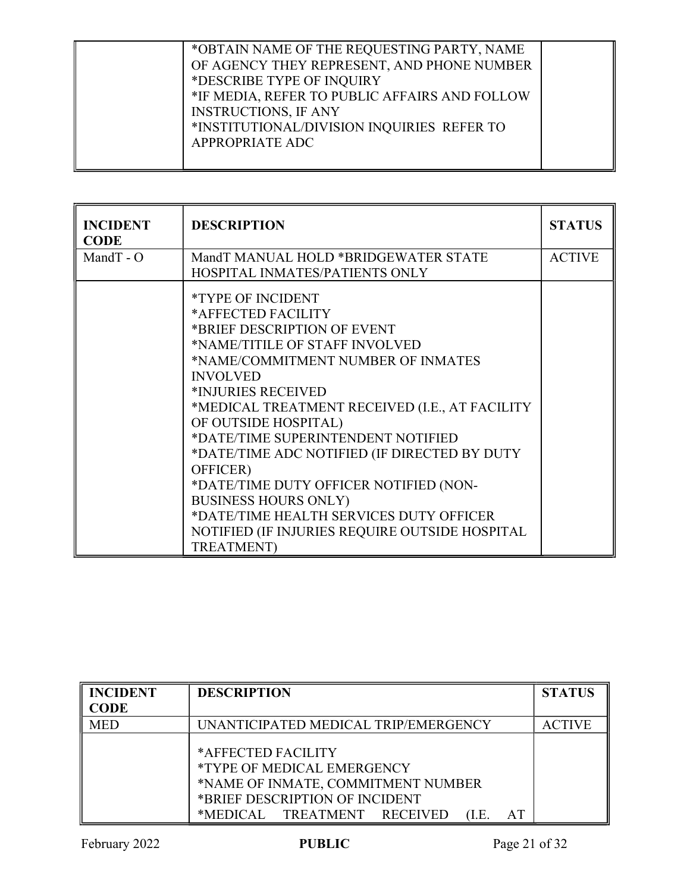| *OBTAIN NAME OF THE REQUESTING PARTY, NAME<br>OF AGENCY THEY REPRESENT, AND PHONE NUMBER<br>*DESCRIBE TYPE OF INQUIRY<br>*IF MEDIA, REFER TO PUBLIC AFFAIRS AND FOLLOW<br><b>INSTRUCTIONS, IF ANY</b><br>*INSTITUTIONAL/DIVISION INQUIRIES REFER TO<br><b>APPROPRIATE ADC</b> |  |
|-------------------------------------------------------------------------------------------------------------------------------------------------------------------------------------------------------------------------------------------------------------------------------|--|
|-------------------------------------------------------------------------------------------------------------------------------------------------------------------------------------------------------------------------------------------------------------------------------|--|

| <b>INCIDENT</b><br><b>CODE</b> | <b>DESCRIPTION</b>                                                                                              | <b>STATUS</b> |
|--------------------------------|-----------------------------------------------------------------------------------------------------------------|---------------|
| Mand $T - O$                   | MandT MANUAL HOLD *BRIDGEWATER STATE                                                                            | <b>ACTIVE</b> |
|                                | HOSPITAL INMATES/PATIENTS ONLY                                                                                  |               |
|                                | <i>*TYPE OF INCIDENT</i><br>*AFFECTED FACILITY<br>*BRIEF DESCRIPTION OF EVENT<br>*NAME/TITILE OF STAFF INVOLVED |               |
|                                | *NAME/COMMITMENT NUMBER OF INMATES                                                                              |               |
|                                | <b>INVOLVED</b>                                                                                                 |               |
|                                | *INJURIES RECEIVED                                                                                              |               |
|                                | *MEDICAL TREATMENT RECEIVED (I.E., AT FACILITY                                                                  |               |
|                                | OF OUTSIDE HOSPITAL)                                                                                            |               |
|                                | *DATE/TIME SUPERINTENDENT NOTIFIED                                                                              |               |
|                                | *DATE/TIME ADC NOTIFIED (IF DIRECTED BY DUTY                                                                    |               |
|                                | OFFICER)                                                                                                        |               |
|                                | *DATE/TIME DUTY OFFICER NOTIFIED (NON-                                                                          |               |
|                                | <b>BUSINESS HOURS ONLY)</b>                                                                                     |               |
|                                | *DATE/TIME HEALTH SERVICES DUTY OFFICER                                                                         |               |
|                                | NOTIFIED (IF INJURIES REQUIRE OUTSIDE HOSPITAL                                                                  |               |
|                                | <b>TREATMENT</b> )                                                                                              |               |

| <b>INCIDENT</b><br><b>CODE</b> | <b>DESCRIPTION</b>                                                                                                                                                            | <b>STATUS</b> |
|--------------------------------|-------------------------------------------------------------------------------------------------------------------------------------------------------------------------------|---------------|
| <b>MED</b>                     | UNANTICIPATED MEDICAL TRIP/EMERGENCY                                                                                                                                          | <b>ACTIVE</b> |
|                                | *AFFECTED FACILITY<br><i>*TYPE OF MEDICAL EMERGENCY</i><br>*NAME OF INMATE, COMMITMENT NUMBER<br>*BRIEF DESCRIPTION OF INCIDENT<br>*MEDICAL TREATMENT RECEIVED<br>AT<br>(1.E. |               |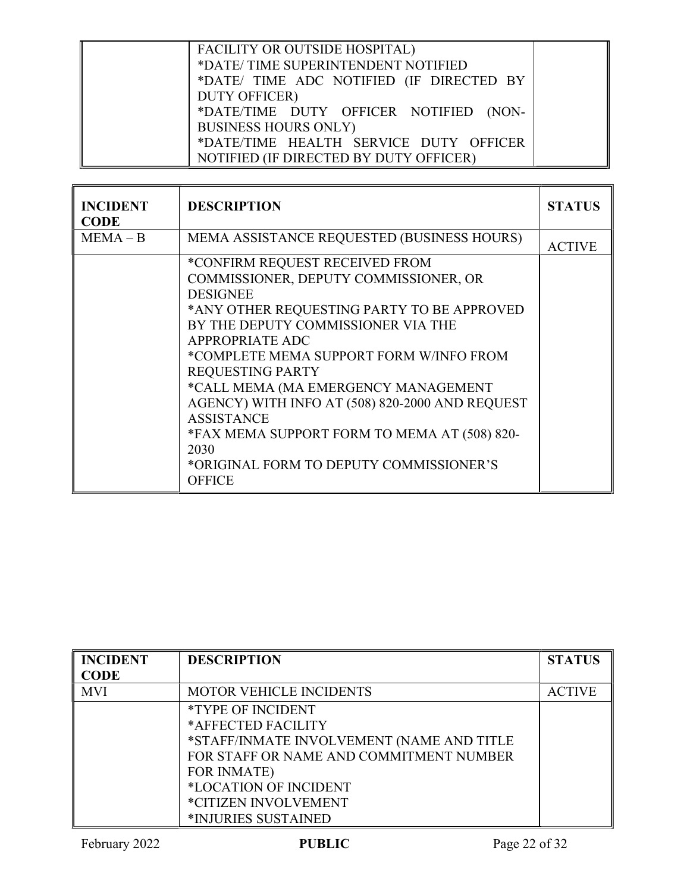| FACILITY OR OUTSIDE HOSPITAL)<br>*DATE/TIME SUPERINTENDENT NOTIFIED<br>*DATE/ TIME ADC NOTIFIED (IF DIRECTED BY |  |
|-----------------------------------------------------------------------------------------------------------------|--|
| <b>DUTY OFFICER)</b><br>*DATE/TIME DUTY OFFICER NOTIFIED (NON-<br><b>BUSINESS HOURS ONLY)</b>                   |  |
| *DATE/TIME HEALTH SERVICE DUTY OFFICER<br>NOTIFIED (IF DIRECTED BY DUTY OFFICER)                                |  |

| <b>INCIDENT</b><br><b>CODE</b> | <b>DESCRIPTION</b>                                                                                                                                                                                                                                                                                                                                                                                                                                                                                                | <b>STATUS</b> |
|--------------------------------|-------------------------------------------------------------------------------------------------------------------------------------------------------------------------------------------------------------------------------------------------------------------------------------------------------------------------------------------------------------------------------------------------------------------------------------------------------------------------------------------------------------------|---------------|
| $MEMA - B$                     | MEMA ASSISTANCE REQUESTED (BUSINESS HOURS)                                                                                                                                                                                                                                                                                                                                                                                                                                                                        | <b>ACTIVE</b> |
|                                | *CONFIRM REQUEST RECEIVED FROM<br>COMMISSIONER, DEPUTY COMMISSIONER, OR<br><b>DESIGNEE</b><br>*ANY OTHER REQUESTING PARTY TO BE APPROVED<br>BY THE DEPUTY COMMISSIONER VIA THE<br><b>APPROPRIATE ADC</b><br>*COMPLETE MEMA SUPPORT FORM W/INFO FROM<br><b>REQUESTING PARTY</b><br>*CALL MEMA (MA EMERGENCY MANAGEMENT<br>AGENCY) WITH INFO AT (508) 820-2000 AND REQUEST<br><b>ASSISTANCE</b><br>*FAX MEMA SUPPORT FORM TO MEMA AT (508) 820-<br>2030<br>*ORIGINAL FORM TO DEPUTY COMMISSIONER'S<br><b>OFFICE</b> |               |

| <b>INCIDENT</b> | <b>DESCRIPTION</b>                        | <b>STATUS</b> |
|-----------------|-------------------------------------------|---------------|
| <b>CODE</b>     |                                           |               |
| <b>MVI</b>      | <b>MOTOR VEHICLE INCIDENTS</b>            | <b>ACTIVE</b> |
|                 | <i>*TYPE OF INCIDENT</i>                  |               |
|                 | *AFFECTED FACILITY                        |               |
|                 | *STAFF/INMATE INVOLVEMENT (NAME AND TITLE |               |
|                 | FOR STAFF OR NAME AND COMMITMENT NUMBER   |               |
|                 | <b>FOR INMATE</b> )                       |               |
|                 | *LOCATION OF INCIDENT                     |               |
|                 | *CITIZEN INVOLVEMENT                      |               |
|                 | *INJURIES SUSTAINED                       |               |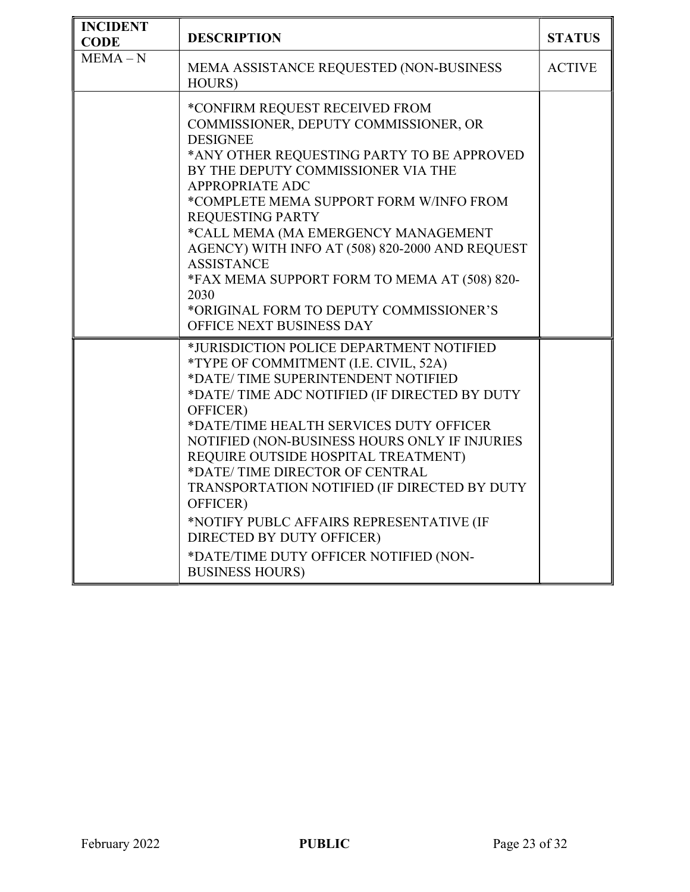| <b>INCIDENT</b><br><b>CODE</b> | <b>DESCRIPTION</b>                                                                                                                                                                                                                                                                                                                                                                                                                                                                                                                                                | <b>STATUS</b> |
|--------------------------------|-------------------------------------------------------------------------------------------------------------------------------------------------------------------------------------------------------------------------------------------------------------------------------------------------------------------------------------------------------------------------------------------------------------------------------------------------------------------------------------------------------------------------------------------------------------------|---------------|
| $MEMA-N$                       | MEMA ASSISTANCE REQUESTED (NON-BUSINESS<br>HOURS)                                                                                                                                                                                                                                                                                                                                                                                                                                                                                                                 | <b>ACTIVE</b> |
|                                | *CONFIRM REQUEST RECEIVED FROM<br>COMMISSIONER, DEPUTY COMMISSIONER, OR<br><b>DESIGNEE</b><br>*ANY OTHER REQUESTING PARTY TO BE APPROVED<br>BY THE DEPUTY COMMISSIONER VIA THE<br>APPROPRIATE ADC<br>*COMPLETE MEMA SUPPORT FORM W/INFO FROM<br><b>REQUESTING PARTY</b><br>*CALL MEMA (MA EMERGENCY MANAGEMENT<br>AGENCY) WITH INFO AT (508) 820-2000 AND REQUEST<br><b>ASSISTANCE</b><br>*FAX MEMA SUPPORT FORM TO MEMA AT (508) 820-<br>2030<br>*ORIGINAL FORM TO DEPUTY COMMISSIONER'S<br>OFFICE NEXT BUSINESS DAY                                             |               |
|                                | *JURISDICTION POLICE DEPARTMENT NOTIFIED<br>*TYPE OF COMMITMENT (I.E. CIVIL, 52A)<br>*DATE/TIME SUPERINTENDENT NOTIFIED<br>*DATE/TIME ADC NOTIFIED (IF DIRECTED BY DUTY<br>OFFICER)<br>*DATE/TIME HEALTH SERVICES DUTY OFFICER<br>NOTIFIED (NON-BUSINESS HOURS ONLY IF INJURIES<br>REQUIRE OUTSIDE HOSPITAL TREATMENT)<br>*DATE/TIME DIRECTOR OF CENTRAL<br>TRANSPORTATION NOTIFIED (IF DIRECTED BY DUTY<br>OFFICER)<br>*NOTIFY PUBLC AFFAIRS REPRESENTATIVE (IF<br>DIRECTED BY DUTY OFFICER)<br>*DATE/TIME DUTY OFFICER NOTIFIED (NON-<br><b>BUSINESS HOURS)</b> |               |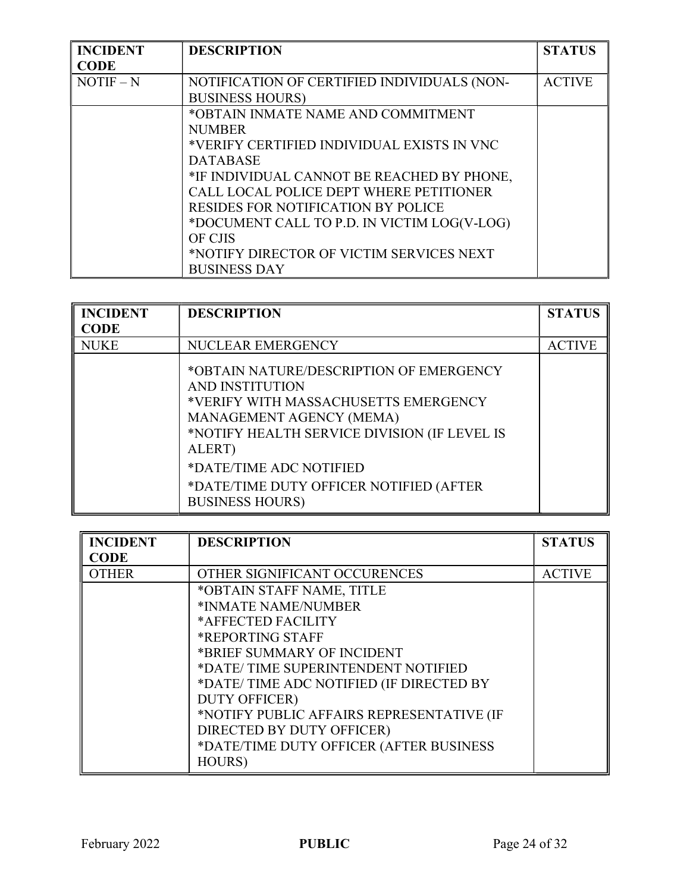| <b>INCIDENT</b> | <b>DESCRIPTION</b>                          | <b>STATUS</b> |
|-----------------|---------------------------------------------|---------------|
| <b>CODE</b>     |                                             |               |
| $NOTIF - N$     | NOTIFICATION OF CERTIFIED INDIVIDUALS (NON- | <b>ACTIVE</b> |
|                 | <b>BUSINESS HOURS)</b>                      |               |
|                 | *OBTAIN INMATE NAME AND COMMITMENT          |               |
|                 | <b>NUMBER</b>                               |               |
|                 | *VERIFY CERTIFIED INDIVIDUAL EXISTS IN VNC  |               |
|                 | <b>DATABASE</b>                             |               |
|                 | *IF INDIVIDUAL CANNOT BE REACHED BY PHONE,  |               |
|                 | CALL LOCAL POLICE DEPT WHERE PETITIONER     |               |
|                 | <b>RESIDES FOR NOTIFICATION BY POLICE</b>   |               |
|                 | *DOCUMENT CALL TO P.D. IN VICTIM LOG(V-LOG) |               |
|                 | <b>OF CJIS</b>                              |               |
|                 | *NOTIFY DIRECTOR OF VICTIM SERVICES NEXT    |               |
|                 | <b>BUSINESS DAY</b>                         |               |

| <b>INCIDENT</b> | <b>DESCRIPTION</b>                                                                                                                                                                                                                                                                       | <b>STATUS</b> |
|-----------------|------------------------------------------------------------------------------------------------------------------------------------------------------------------------------------------------------------------------------------------------------------------------------------------|---------------|
| <b>CODE</b>     |                                                                                                                                                                                                                                                                                          |               |
| <b>NUKE</b>     | <b>NUCLEAR EMERGENCY</b>                                                                                                                                                                                                                                                                 | <b>ACTIVE</b> |
|                 | *OBTAIN NATURE/DESCRIPTION OF EMERGENCY<br>AND INSTITUTION<br>*VERIFY WITH MASSACHUSETTS EMERGENCY<br>MANAGEMENT AGENCY (MEMA)<br>*NOTIFY HEALTH SERVICE DIVISION (IF LEVEL IS<br>ALERT)<br>*DATE/TIME ADC NOTIFIED<br>*DATE/TIME DUTY OFFICER NOTIFIED (AFTER<br><b>BUSINESS HOURS)</b> |               |

| <b>INCIDENT</b> | <b>DESCRIPTION</b>                        | <b>STATUS</b> |
|-----------------|-------------------------------------------|---------------|
| <b>CODE</b>     |                                           |               |
| <b>OTHER</b>    | OTHER SIGNIFICANT OCCURENCES              | <b>ACTIVE</b> |
|                 | *OBTAIN STAFF NAME, TITLE                 |               |
|                 | *INMATE NAME/NUMBER                       |               |
|                 | *AFFECTED FACILITY                        |               |
|                 | *REPORTING STAFF                          |               |
|                 | *BRIEF SUMMARY OF INCIDENT                |               |
|                 | *DATE/TIME SUPERINTENDENT NOTIFIED        |               |
|                 | *DATE/TIME ADC NOTIFIED (IF DIRECTED BY   |               |
|                 | <b>DUTY OFFICER)</b>                      |               |
|                 | *NOTIFY PUBLIC AFFAIRS REPRESENTATIVE (IF |               |
|                 | DIRECTED BY DUTY OFFICER)                 |               |
|                 | *DATE/TIME DUTY OFFICER (AFTER BUSINESS   |               |
|                 | HOURS)                                    |               |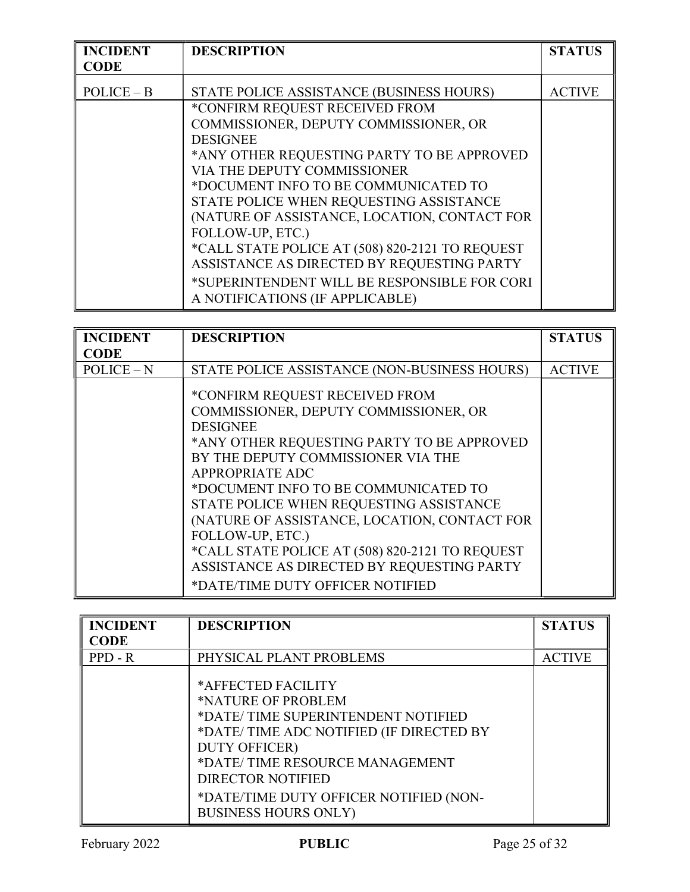| <b>INCIDENT</b> | <b>DESCRIPTION</b>                              | <b>STATUS</b> |
|-----------------|-------------------------------------------------|---------------|
| <b>CODE</b>     |                                                 |               |
| $POLICE - B$    | STATE POLICE ASSISTANCE (BUSINESS HOURS)        | <b>ACTIVE</b> |
|                 | *CONFIRM REQUEST RECEIVED FROM                  |               |
|                 | COMMISSIONER, DEPUTY COMMISSIONER, OR           |               |
|                 | <b>DESIGNEE</b>                                 |               |
|                 | *ANY OTHER REQUESTING PARTY TO BE APPROVED      |               |
|                 | VIA THE DEPUTY COMMISSIONER                     |               |
|                 | *DOCUMENT INFO TO BE COMMUNICATED TO            |               |
|                 | STATE POLICE WHEN REQUESTING ASSISTANCE         |               |
|                 | (NATURE OF ASSISTANCE, LOCATION, CONTACT FOR    |               |
|                 | FOLLOW-UP, ETC.)                                |               |
|                 | *CALL STATE POLICE AT (508) 820-2121 TO REQUEST |               |
|                 | ASSISTANCE AS DIRECTED BY REQUESTING PARTY      |               |
|                 | *SUPERINTENDENT WILL BE RESPONSIBLE FOR CORI    |               |
|                 | A NOTIFICATIONS (IF APPLICABLE)                 |               |

| <b>INCIDENT</b> | <b>DESCRIPTION</b>                                                                                                                                                                                                                                                                                                                                                                                                                                                                            | <b>STATUS</b> |
|-----------------|-----------------------------------------------------------------------------------------------------------------------------------------------------------------------------------------------------------------------------------------------------------------------------------------------------------------------------------------------------------------------------------------------------------------------------------------------------------------------------------------------|---------------|
| CODE            |                                                                                                                                                                                                                                                                                                                                                                                                                                                                                               |               |
| $POLICE - N$    | STATE POLICE ASSISTANCE (NON-BUSINESS HOURS)                                                                                                                                                                                                                                                                                                                                                                                                                                                  | <b>ACTIVE</b> |
|                 | *CONFIRM REQUEST RECEIVED FROM<br>COMMISSIONER, DEPUTY COMMISSIONER, OR<br><b>DESIGNEE</b><br>*ANY OTHER REQUESTING PARTY TO BE APPROVED<br>BY THE DEPUTY COMMISSIONER VIA THE<br>APPROPRIATE ADC<br>*DOCUMENT INFO TO BE COMMUNICATED TO<br>STATE POLICE WHEN REQUESTING ASSISTANCE<br>(NATURE OF ASSISTANCE, LOCATION, CONTACT FOR<br>FOLLOW-UP, ETC.)<br>*CALL STATE POLICE AT (508) 820-2121 TO REQUEST<br>ASSISTANCE AS DIRECTED BY REQUESTING PARTY<br>*DATE/TIME DUTY OFFICER NOTIFIED |               |

| <b>INCIDENT</b><br>CODE | <b>DESCRIPTION</b>                                                                                                                                                                                                                                                                       | <b>STATUS</b> |
|-------------------------|------------------------------------------------------------------------------------------------------------------------------------------------------------------------------------------------------------------------------------------------------------------------------------------|---------------|
| $PPD - R$               | PHYSICAL PLANT PROBLEMS                                                                                                                                                                                                                                                                  | <b>ACTIVE</b> |
|                         | *AFFECTED FACILITY<br>*NATURE OF PROBLEM<br>*DATE/TIME SUPERINTENDENT NOTIFIED<br>*DATE/TIME ADC NOTIFIED (IF DIRECTED BY<br><b>DUTY OFFICER)</b><br>*DATE/TIME RESOURCE MANAGEMENT<br><b>DIRECTOR NOTIFIED</b><br>*DATE/TIME DUTY OFFICER NOTIFIED (NON-<br><b>BUSINESS HOURS ONLY)</b> |               |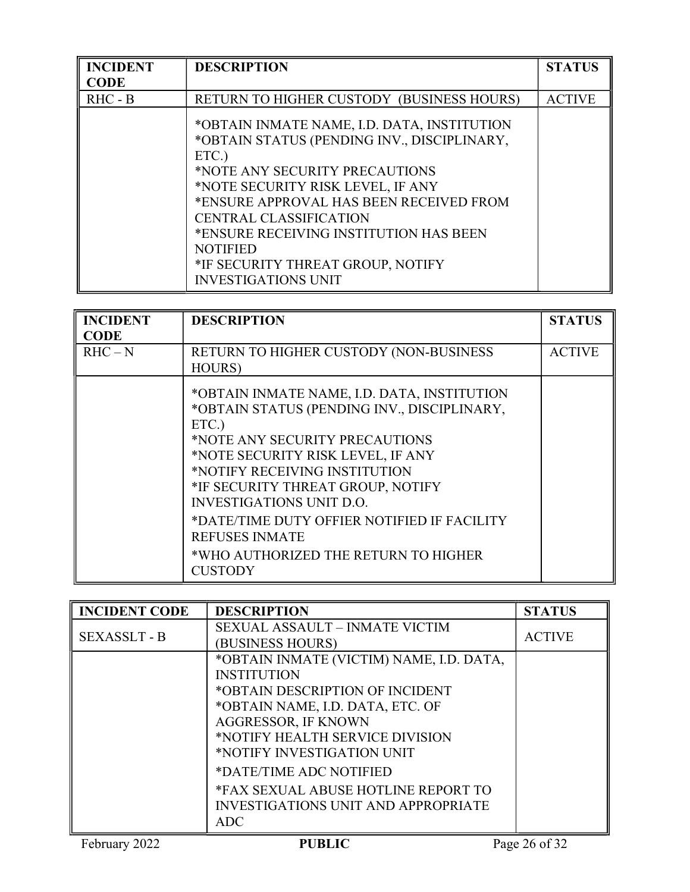| <b>INCIDENT</b> | <b>DESCRIPTION</b>                                                                                                                                                                                                                                                                                                                                                                     | <b>STATUS</b> |
|-----------------|----------------------------------------------------------------------------------------------------------------------------------------------------------------------------------------------------------------------------------------------------------------------------------------------------------------------------------------------------------------------------------------|---------------|
| <b>CODE</b>     |                                                                                                                                                                                                                                                                                                                                                                                        |               |
| $RHC - B$       | RETURN TO HIGHER CUSTODY (BUSINESS HOURS)                                                                                                                                                                                                                                                                                                                                              | <b>ACTIVE</b> |
|                 | *OBTAIN INMATE NAME, I.D. DATA, INSTITUTION<br>*OBTAIN STATUS (PENDING INV., DISCIPLINARY,<br>ETC.)<br>*NOTE ANY SECURITY PRECAUTIONS<br>*NOTE SECURITY RISK LEVEL, IF ANY<br>*ENSURE APPROVAL HAS BEEN RECEIVED FROM<br><b>CENTRAL CLASSIFICATION</b><br>*ENSURE RECEIVING INSTITUTION HAS BEEN<br><b>NOTIFIED</b><br>*IF SECURITY THREAT GROUP, NOTIFY<br><b>INVESTIGATIONS UNIT</b> |               |

| <b>INCIDENT</b><br>CODE | <b>DESCRIPTION</b>                                                                                                                                                                                                                                                                                                                                                                                                    | <b>STATUS</b> |
|-------------------------|-----------------------------------------------------------------------------------------------------------------------------------------------------------------------------------------------------------------------------------------------------------------------------------------------------------------------------------------------------------------------------------------------------------------------|---------------|
| $RHC - N$               | RETURN TO HIGHER CUSTODY (NON-BUSINESS<br><b>HOURS</b> )                                                                                                                                                                                                                                                                                                                                                              | <b>ACTIVE</b> |
|                         | *OBTAIN INMATE NAME, I.D. DATA, INSTITUTION<br>*OBTAIN STATUS (PENDING INV., DISCIPLINARY,<br>ETC.)<br>*NOTE ANY SECURITY PRECAUTIONS<br>*NOTE SECURITY RISK LEVEL, IF ANY<br>*NOTIFY RECEIVING INSTITUTION<br>*IF SECURITY THREAT GROUP, NOTIFY<br><b>INVESTIGATIONS UNIT D.O.</b><br>*DATE/TIME DUTY OFFIER NOTIFIED IF FACILITY<br><b>REFUSES INMATE</b><br>*WHO AUTHORIZED THE RETURN TO HIGHER<br><b>CUSTODY</b> |               |

| <b>INCIDENT CODE</b> | <b>DESCRIPTION</b>                                                                                                                                                                                                                                                                                                                                                 | <b>STATUS</b> |
|----------------------|--------------------------------------------------------------------------------------------------------------------------------------------------------------------------------------------------------------------------------------------------------------------------------------------------------------------------------------------------------------------|---------------|
| <b>SEXASSLT - B</b>  | <b>SEXUAL ASSAULT - INMATE VICTIM</b><br>(BUSINESS HOURS)                                                                                                                                                                                                                                                                                                          | <b>ACTIVE</b> |
|                      | *OBTAIN INMATE (VICTIM) NAME, I.D. DATA,<br><b>INSTITUTION</b><br>*OBTAIN DESCRIPTION OF INCIDENT<br>*OBTAIN NAME, I.D. DATA, ETC. OF<br><b>AGGRESSOR, IF KNOWN</b><br>*NOTIFY HEALTH SERVICE DIVISION<br>*NOTIFY INVESTIGATION UNIT<br>*DATE/TIME ADC NOTIFIED<br>*FAX SEXUAL ABUSE HOTLINE REPORT TO<br><b>INVESTIGATIONS UNIT AND APPROPRIATE</b><br><b>ADC</b> |               |
| February 2022        | <b>PUBLIC</b>                                                                                                                                                                                                                                                                                                                                                      | Page 26 of 32 |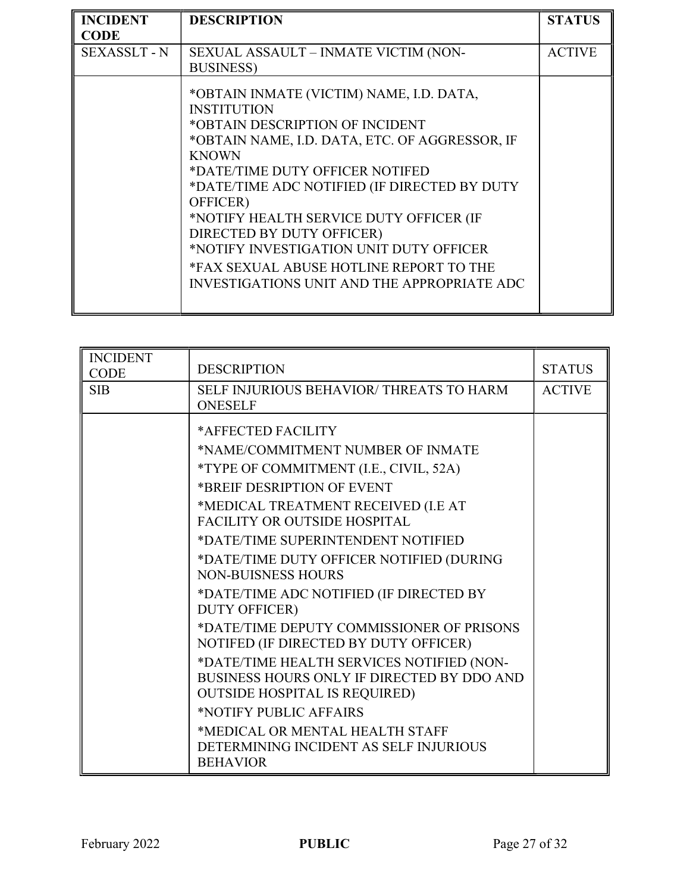| <b>INCIDENT</b>     | <b>DESCRIPTION</b>                                                                                                                                                                                                                                                                                                                                                                                                                                                                     | <b>STATUS</b> |
|---------------------|----------------------------------------------------------------------------------------------------------------------------------------------------------------------------------------------------------------------------------------------------------------------------------------------------------------------------------------------------------------------------------------------------------------------------------------------------------------------------------------|---------------|
| <b>CODE</b>         |                                                                                                                                                                                                                                                                                                                                                                                                                                                                                        |               |
| <b>SEXASSLT - N</b> | SEXUAL ASSAULT - INMATE VICTIM (NON-                                                                                                                                                                                                                                                                                                                                                                                                                                                   | <b>ACTIVE</b> |
|                     | <b>BUSINESS</b> )                                                                                                                                                                                                                                                                                                                                                                                                                                                                      |               |
|                     | *OBTAIN INMATE (VICTIM) NAME, I.D. DATA,<br><b>INSTITUTION</b><br>*OBTAIN DESCRIPTION OF INCIDENT<br>*OBTAIN NAME, I.D. DATA, ETC. OF AGGRESSOR, IF<br><b>KNOWN</b><br>*DATE/TIME DUTY OFFICER NOTIFED<br>*DATE/TIME ADC NOTIFIED (IF DIRECTED BY DUTY<br>OFFICER)<br>*NOTIFY HEALTH SERVICE DUTY OFFICER (IF<br>DIRECTED BY DUTY OFFICER)<br>*NOTIFY INVESTIGATION UNIT DUTY OFFICER<br>*FAX SEXUAL ABUSE HOTLINE REPORT TO THE<br><b>INVESTIGATIONS UNIT AND THE APPROPRIATE ADC</b> |               |

| <b>INCIDENT</b><br><b>CODE</b> | <b>DESCRIPTION</b>                                                                                                                                                                                                                                                                                                                                                                                                                                                                                                                                                                                                                                                                                                                                 | <b>STATUS</b> |
|--------------------------------|----------------------------------------------------------------------------------------------------------------------------------------------------------------------------------------------------------------------------------------------------------------------------------------------------------------------------------------------------------------------------------------------------------------------------------------------------------------------------------------------------------------------------------------------------------------------------------------------------------------------------------------------------------------------------------------------------------------------------------------------------|---------------|
| <b>SIB</b>                     | SELF INJURIOUS BEHAVIOR/THREATS TO HARM<br><b>ONESELF</b>                                                                                                                                                                                                                                                                                                                                                                                                                                                                                                                                                                                                                                                                                          | <b>ACTIVE</b> |
|                                | *AFFECTED FACILITY<br>*NAME/COMMITMENT NUMBER OF INMATE<br>*TYPE OF COMMITMENT (I.E., CIVIL, 52A)<br>*BREIF DESRIPTION OF EVENT<br>*MEDICAL TREATMENT RECEIVED (I.E AT<br><b>FACILITY OR OUTSIDE HOSPITAL</b><br>*DATE/TIME SUPERINTENDENT NOTIFIED<br>*DATE/TIME DUTY OFFICER NOTIFIED (DURING<br><b>NON-BUISNESS HOURS</b><br>*DATE/TIME ADC NOTIFIED (IF DIRECTED BY<br><b>DUTY OFFICER)</b><br>*DATE/TIME DEPUTY COMMISSIONER OF PRISONS<br>NOTIFED (IF DIRECTED BY DUTY OFFICER)<br>*DATE/TIME HEALTH SERVICES NOTIFIED (NON-<br>BUSINESS HOURS ONLY IF DIRECTED BY DDO AND<br><b>OUTSIDE HOSPITAL IS REQUIRED)</b><br>*NOTIFY PUBLIC AFFAIRS<br>*MEDICAL OR MENTAL HEALTH STAFF<br>DETERMINING INCIDENT AS SELF INJURIOUS<br><b>BEHAVIOR</b> |               |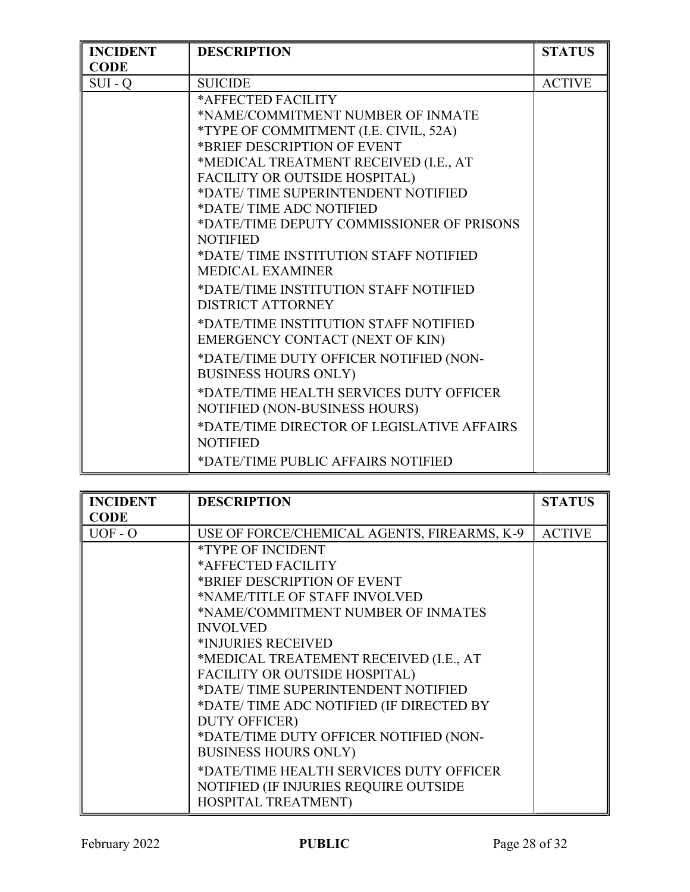| <b>INCIDENT</b> | <b>DESCRIPTION</b>                         | <b>STATUS</b> |
|-----------------|--------------------------------------------|---------------|
| <b>CODE</b>     |                                            |               |
| $SUI - Q$       | <b>SUICIDE</b>                             | <b>ACTIVE</b> |
|                 | *AFFECTED FACILITY                         |               |
|                 | *NAME/COMMITMENT NUMBER OF INMATE          |               |
|                 | *TYPE OF COMMITMENT (I.E. CIVIL, 52A)      |               |
|                 | *BRIEF DESCRIPTION OF EVENT                |               |
|                 | *MEDICAL TREATMENT RECEIVED (I.E., AT      |               |
|                 | FACILITY OR OUTSIDE HOSPITAL)              |               |
|                 | *DATE/TIME SUPERINTENDENT NOTIFIED         |               |
|                 | *DATE/TIME ADC NOTIFIED                    |               |
|                 | *DATE/TIME DEPUTY COMMISSIONER OF PRISONS  |               |
|                 | <b>NOTIFIED</b>                            |               |
|                 | *DATE/TIME INSTITUTION STAFF NOTIFIED      |               |
|                 | <b>MEDICAL EXAMINER</b>                    |               |
|                 | *DATE/TIME INSTITUTION STAFF NOTIFIED      |               |
|                 | <b>DISTRICT ATTORNEY</b>                   |               |
|                 | *DATE/TIME INSTITUTION STAFF NOTIFIED      |               |
|                 | EMERGENCY CONTACT (NEXT OF KIN)            |               |
|                 | *DATE/TIME DUTY OFFICER NOTIFIED (NON-     |               |
|                 | <b>BUSINESS HOURS ONLY)</b>                |               |
|                 | *DATE/TIME HEALTH SERVICES DUTY OFFICER    |               |
|                 | NOTIFIED (NON-BUSINESS HOURS)              |               |
|                 | *DATE/TIME DIRECTOR OF LEGISLATIVE AFFAIRS |               |
|                 | <b>NOTIFIED</b>                            |               |
|                 | *DATE/TIME PUBLIC AFFAIRS NOTIFIED         |               |

| <b>INCIDENT</b> | <b>DESCRIPTION</b>                          | <b>STATUS</b> |
|-----------------|---------------------------------------------|---------------|
| <b>CODE</b>     |                                             |               |
| $UOF - O$       | USE OF FORCE/CHEMICAL AGENTS, FIREARMS, K-9 | <b>ACTIVE</b> |
|                 | <i>*TYPE OF INCIDENT</i>                    |               |
|                 | *AFFECTED FACILITY                          |               |
|                 | *BRIEF DESCRIPTION OF EVENT                 |               |
|                 | *NAME/TITLE OF STAFF INVOLVED               |               |
|                 | *NAME/COMMITMENT NUMBER OF INMATES          |               |
|                 | <b>INVOLVED</b>                             |               |
|                 | *INJURIES RECEIVED                          |               |
|                 | *MEDICAL TREATEMENT RECEIVED (I.E., AT      |               |
|                 | FACILITY OR OUTSIDE HOSPITAL)               |               |
|                 | *DATE/TIME SUPERINTENDENT NOTIFIED          |               |
|                 | *DATE/TIME ADC NOTIFIED (IF DIRECTED BY     |               |
|                 | <b>DUTY OFFICER)</b>                        |               |
|                 | *DATE/TIME DUTY OFFICER NOTIFIED (NON-      |               |
|                 | <b>BUSINESS HOURS ONLY)</b>                 |               |
|                 | *DATE/TIME HEALTH SERVICES DUTY OFFICER     |               |
|                 | NOTIFIED (IF INJURIES REQUIRE OUTSIDE       |               |
|                 | HOSPITAL TREATMENT)                         |               |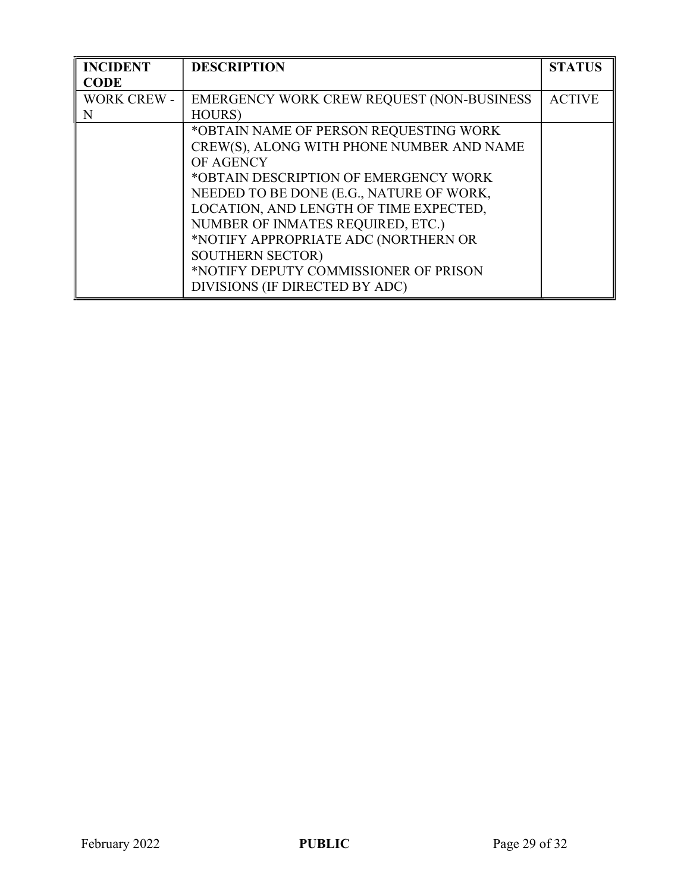| <b>INCIDENT</b>    | <b>DESCRIPTION</b>                        | <b>STATUS</b> |
|--------------------|-------------------------------------------|---------------|
| <b>CODE</b>        |                                           |               |
| <b>WORK CREW -</b> | EMERGENCY WORK CREW REQUEST (NON-BUSINESS | <b>ACTIVE</b> |
| N                  | <b>HOURS</b> )                            |               |
|                    | *OBTAIN NAME OF PERSON REQUESTING WORK    |               |
|                    | CREW(S), ALONG WITH PHONE NUMBER AND NAME |               |
|                    | OF AGENCY                                 |               |
|                    | *OBTAIN DESCRIPTION OF EMERGENCY WORK     |               |
|                    | NEEDED TO BE DONE (E.G., NATURE OF WORK,  |               |
|                    | LOCATION, AND LENGTH OF TIME EXPECTED,    |               |
|                    | NUMBER OF INMATES REQUIRED, ETC.)         |               |
|                    | *NOTIFY APPROPRIATE ADC (NORTHERN OR      |               |
|                    | <b>SOUTHERN SECTOR)</b>                   |               |
|                    | *NOTIFY DEPUTY COMMISSIONER OF PRISON     |               |
|                    | DIVISIONS (IF DIRECTED BY ADC)            |               |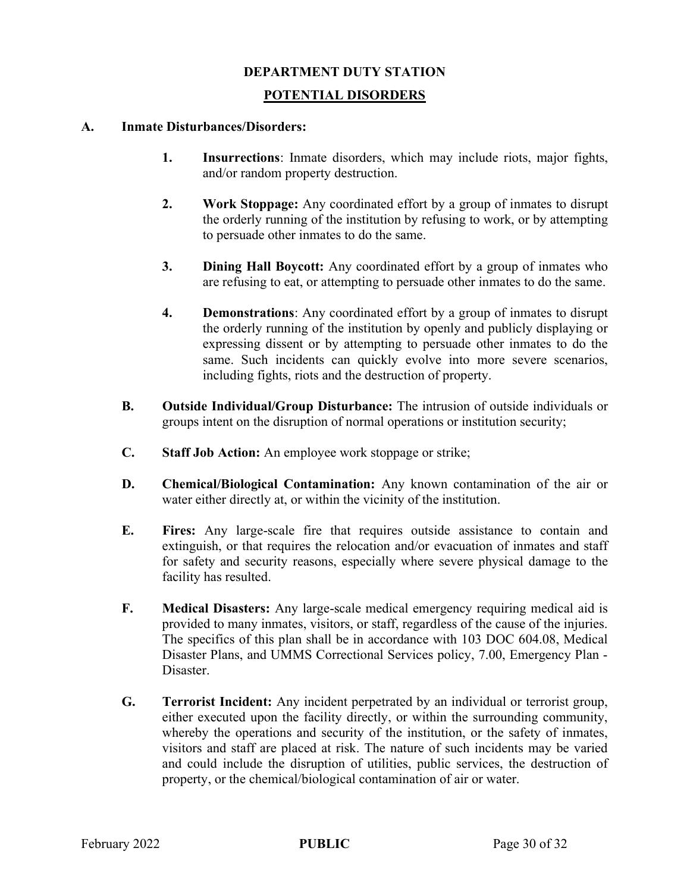#### DEPARTMENT DUTY STATION

### POTENTIAL DISORDERS

### A. Inmate Disturbances/Disorders:

- 1. Insurrections: Inmate disorders, which may include riots, major fights, and/or random property destruction.
- 2. Work Stoppage: Any coordinated effort by a group of inmates to disrupt the orderly running of the institution by refusing to work, or by attempting to persuade other inmates to do the same.
- 3. Dining Hall Boycott: Any coordinated effort by a group of inmates who are refusing to eat, or attempting to persuade other inmates to do the same.
- 4. Demonstrations: Any coordinated effort by a group of inmates to disrupt the orderly running of the institution by openly and publicly displaying or expressing dissent or by attempting to persuade other inmates to do the same. Such incidents can quickly evolve into more severe scenarios, including fights, riots and the destruction of property.
- B. Outside Individual/Group Disturbance: The intrusion of outside individuals or groups intent on the disruption of normal operations or institution security;
- C. Staff Job Action: An employee work stoppage or strike;
- D. Chemical/Biological Contamination: Any known contamination of the air or water either directly at, or within the vicinity of the institution.
- E. Fires: Any large-scale fire that requires outside assistance to contain and extinguish, or that requires the relocation and/or evacuation of inmates and staff for safety and security reasons, especially where severe physical damage to the facility has resulted.
- F. Medical Disasters: Any large-scale medical emergency requiring medical aid is provided to many inmates, visitors, or staff, regardless of the cause of the injuries. The specifics of this plan shall be in accordance with 103 DOC 604.08, Medical Disaster Plans, and UMMS Correctional Services policy, 7.00, Emergency Plan - Disaster.
- G. Terrorist Incident: Any incident perpetrated by an individual or terrorist group, either executed upon the facility directly, or within the surrounding community, whereby the operations and security of the institution, or the safety of inmates, visitors and staff are placed at risk. The nature of such incidents may be varied and could include the disruption of utilities, public services, the destruction of property, or the chemical/biological contamination of air or water.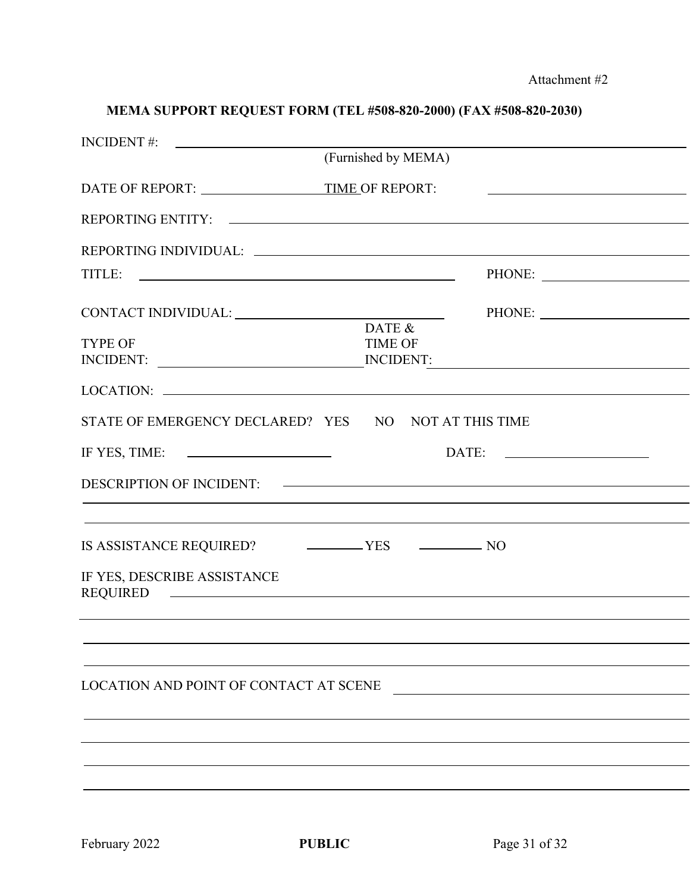# MEMA SUPPORT REQUEST FORM (TEL #508-820-2000) (FAX #508-820-2030)

|                                                                                                                                                                                                                                                               | (Furnished by MEMA)      |                                                                                                                     |  |
|---------------------------------------------------------------------------------------------------------------------------------------------------------------------------------------------------------------------------------------------------------------|--------------------------|---------------------------------------------------------------------------------------------------------------------|--|
|                                                                                                                                                                                                                                                               |                          | <u> 1989 - Andrea Barbara, poeta espainiar político e a continente de la propia de la propia de la propia de la</u> |  |
|                                                                                                                                                                                                                                                               |                          |                                                                                                                     |  |
|                                                                                                                                                                                                                                                               |                          |                                                                                                                     |  |
| TITLE:                                                                                                                                                                                                                                                        |                          |                                                                                                                     |  |
|                                                                                                                                                                                                                                                               |                          |                                                                                                                     |  |
| <b>TYPE OF</b>                                                                                                                                                                                                                                                | DATE &<br><b>TIME OF</b> |                                                                                                                     |  |
| INCIDENT:                                                                                                                                                                                                                                                     | <b>INCIDENT:</b>         |                                                                                                                     |  |
| LOCATION:                                                                                                                                                                                                                                                     |                          |                                                                                                                     |  |
| STATE OF EMERGENCY DECLARED? YES NO NOT AT THIS TIME                                                                                                                                                                                                          |                          |                                                                                                                     |  |
| IF YES, TIME: $\qquad \qquad$                                                                                                                                                                                                                                 |                          |                                                                                                                     |  |
|                                                                                                                                                                                                                                                               |                          |                                                                                                                     |  |
|                                                                                                                                                                                                                                                               |                          |                                                                                                                     |  |
|                                                                                                                                                                                                                                                               |                          |                                                                                                                     |  |
| IF YES, DESCRIBE ASSISTANCE<br>REQUIRED CONTROL CONTROL CONTROL CONTROL CONTROL CONTROL CONTROL CONTROL CONTROL CONTROL CONTROL CONTROL CONTROL CONTROL CONTROL CONTROL CONTROL CONTROL CONTROL CONTROL CONTROL CONTROL CONTROL CONTROL CONTROL CONTROL CONTR |                          |                                                                                                                     |  |
|                                                                                                                                                                                                                                                               |                          |                                                                                                                     |  |
|                                                                                                                                                                                                                                                               |                          |                                                                                                                     |  |
|                                                                                                                                                                                                                                                               |                          |                                                                                                                     |  |
| LOCATION AND POINT OF CONTACT AT SCENE                                                                                                                                                                                                                        |                          |                                                                                                                     |  |
|                                                                                                                                                                                                                                                               |                          |                                                                                                                     |  |
|                                                                                                                                                                                                                                                               |                          |                                                                                                                     |  |
|                                                                                                                                                                                                                                                               |                          |                                                                                                                     |  |
|                                                                                                                                                                                                                                                               |                          |                                                                                                                     |  |